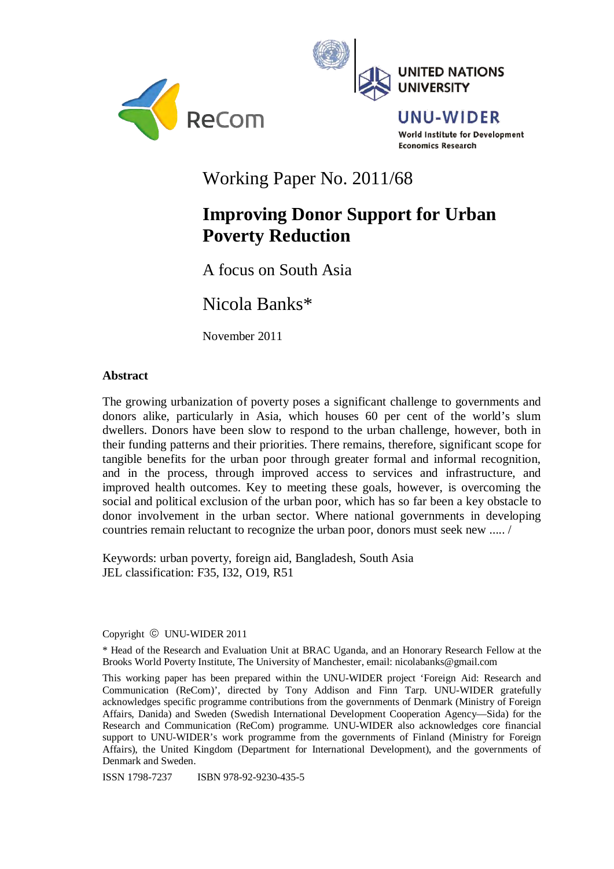



UNU-WIDER World Institute for Development **Economics Research** 

Working Paper No. 2011/68

# **Improving Donor Support for Urban Poverty Reduction**

A focus on South Asia

Nicola Banks\*

November 2011

# **Abstract**

The growing urbanization of poverty poses a significant challenge to governments and donors alike, particularly in Asia, which houses 60 per cent of the world's slum dwellers. Donors have been slow to respond to the urban challenge, however, both in their funding patterns and their priorities. There remains, therefore, significant scope for tangible benefits for the urban poor through greater formal and informal recognition, and in the process, through improved access to services and infrastructure, and improved health outcomes. Key to meeting these goals, however, is overcoming the social and political exclusion of the urban poor, which has so far been a key obstacle to donor involvement in the urban sector. Where national governments in developing countries remain reluctant to recognize the urban poor, donors must seek new ..... /

Keywords: urban poverty, foreign aid, Bangladesh, South Asia JEL classification: F35, I32, O19, R51

Copyright © UNU-WIDER 2011

\* Head of the Research and Evaluation Unit at BRAC Uganda, and an Honorary Research Fellow at the Brooks World Poverty Institute, The University of Manchester, email: nicolabanks@gmail.com

This working paper has been prepared within the UNU-WIDER project 'Foreign Aid: Research and Communication (ReCom)', directed by Tony Addison and Finn Tarp. UNU-WIDER gratefully acknowledges specific programme contributions from the governments of Denmark (Ministry of Foreign Affairs, Danida) and Sweden (Swedish International Development Cooperation Agency—Sida) for the Research and Communication (ReCom) programme. UNU-WIDER also acknowledges core financial support to UNU-WIDER's work programme from the governments of Finland (Ministry for Foreign Affairs), the United Kingdom (Department for International Development), and the governments of Denmark and Sweden.

ISSN 1798-7237 ISBN 978-92-9230-435-5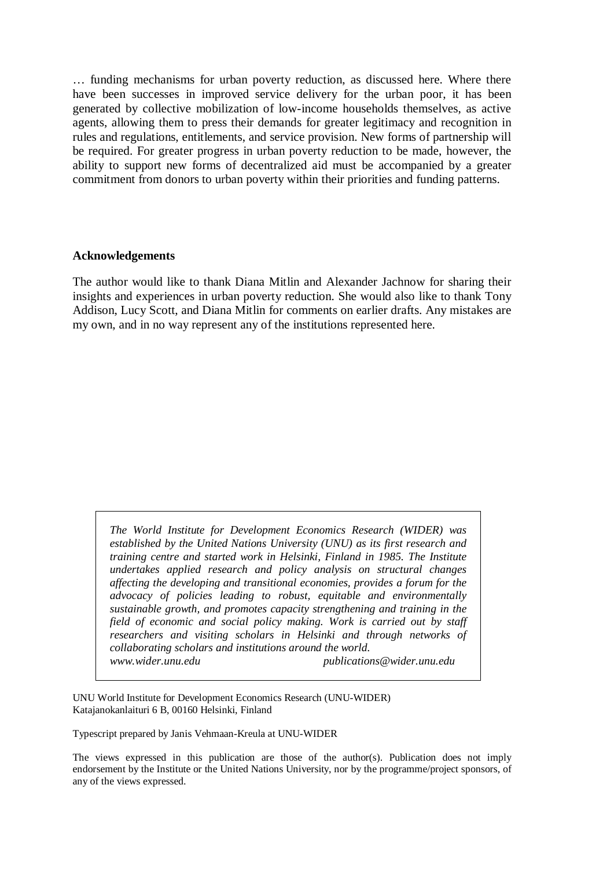… funding mechanisms for urban poverty reduction, as discussed here. Where there have been successes in improved service delivery for the urban poor, it has been generated by collective mobilization of low-income households themselves, as active agents, allowing them to press their demands for greater legitimacy and recognition in rules and regulations, entitlements, and service provision. New forms of partnership will be required. For greater progress in urban poverty reduction to be made, however, the ability to support new forms of decentralized aid must be accompanied by a greater commitment from donors to urban poverty within their priorities and funding patterns.

#### **Acknowledgements**

The author would like to thank Diana Mitlin and Alexander Jachnow for sharing their insights and experiences in urban poverty reduction. She would also like to thank Tony Addison, Lucy Scott, and Diana Mitlin for comments on earlier drafts. Any mistakes are my own, and in no way represent any of the institutions represented here.

*The World Institute for Development Economics Research (WIDER) was established by the United Nations University (UNU) as its first research and training centre and started work in Helsinki, Finland in 1985. The Institute undertakes applied research and policy analysis on structural changes affecting the developing and transitional economies, provides a forum for the advocacy of policies leading to robust, equitable and environmentally sustainable growth, and promotes capacity strengthening and training in the field of economic and social policy making. Work is carried out by staff researchers and visiting scholars in Helsinki and through networks of collaborating scholars and institutions around the world. www.wider.unu.edu publications@wider.unu.edu* 

UNU World Institute for Development Economics Research (UNU-WIDER) Katajanokanlaituri 6 B, 00160 Helsinki, Finland

Typescript prepared by Janis Vehmaan-Kreula at UNU-WIDER

The views expressed in this publication are those of the author(s). Publication does not imply endorsement by the Institute or the United Nations University, nor by the programme/project sponsors, of any of the views expressed.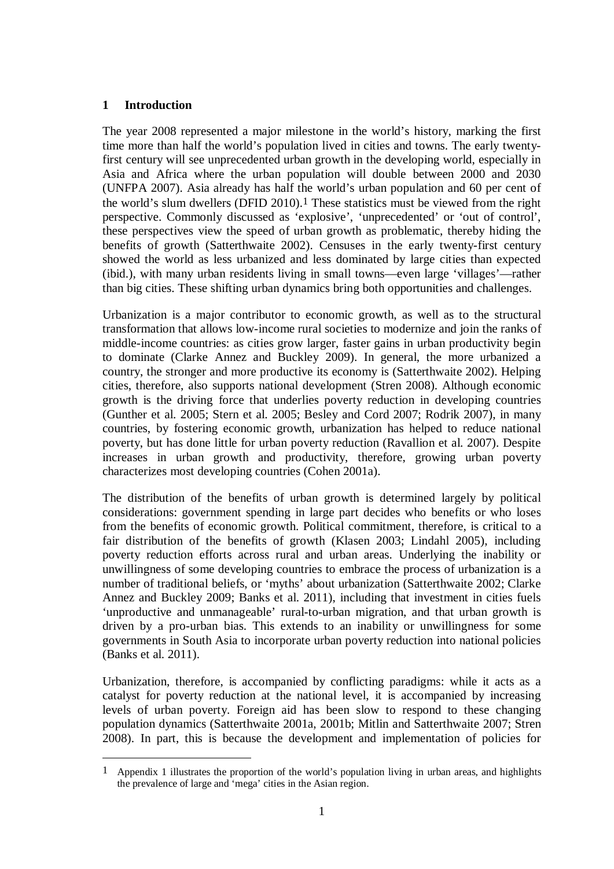# **1 Introduction**

1

The year 2008 represented a major milestone in the world's history, marking the first time more than half the world's population lived in cities and towns. The early twentyfirst century will see unprecedented urban growth in the developing world, especially in Asia and Africa where the urban population will double between 2000 and 2030 (UNFPA 2007). Asia already has half the world's urban population and 60 per cent of the world's slum dwellers (DFID 2010).1 These statistics must be viewed from the right perspective. Commonly discussed as 'explosive', 'unprecedented' or 'out of control', these perspectives view the speed of urban growth as problematic, thereby hiding the benefits of growth (Satterthwaite 2002). Censuses in the early twenty-first century showed the world as less urbanized and less dominated by large cities than expected (ibid.), with many urban residents living in small towns—even large 'villages'—rather than big cities. These shifting urban dynamics bring both opportunities and challenges.

Urbanization is a major contributor to economic growth, as well as to the structural transformation that allows low-income rural societies to modernize and join the ranks of middle-income countries: as cities grow larger, faster gains in urban productivity begin to dominate (Clarke Annez and Buckley 2009). In general, the more urbanized a country, the stronger and more productive its economy is (Satterthwaite 2002). Helping cities, therefore, also supports national development (Stren 2008). Although economic growth is the driving force that underlies poverty reduction in developing countries (Gunther et al. 2005; Stern et al. 2005; Besley and Cord 2007; Rodrik 2007), in many countries, by fostering economic growth, urbanization has helped to reduce national poverty, but has done little for urban poverty reduction (Ravallion et al. 2007). Despite increases in urban growth and productivity, therefore, growing urban poverty characterizes most developing countries (Cohen 2001a).

The distribution of the benefits of urban growth is determined largely by political considerations: government spending in large part decides who benefits or who loses from the benefits of economic growth. Political commitment, therefore, is critical to a fair distribution of the benefits of growth (Klasen 2003; Lindahl 2005), including poverty reduction efforts across rural and urban areas. Underlying the inability or unwillingness of some developing countries to embrace the process of urbanization is a number of traditional beliefs, or 'myths' about urbanization (Satterthwaite 2002; Clarke Annez and Buckley 2009; Banks et al. 2011), including that investment in cities fuels 'unproductive and unmanageable' rural-to-urban migration, and that urban growth is driven by a pro-urban bias. This extends to an inability or unwillingness for some governments in South Asia to incorporate urban poverty reduction into national policies (Banks et al. 2011).

Urbanization, therefore, is accompanied by conflicting paradigms: while it acts as a catalyst for poverty reduction at the national level, it is accompanied by increasing levels of urban poverty. Foreign aid has been slow to respond to these changing population dynamics (Satterthwaite 2001a, 2001b; Mitlin and Satterthwaite 2007; Stren 2008). In part, this is because the development and implementation of policies for

<sup>1</sup> Appendix 1 illustrates the proportion of the world's population living in urban areas, and highlights the prevalence of large and 'mega' cities in the Asian region.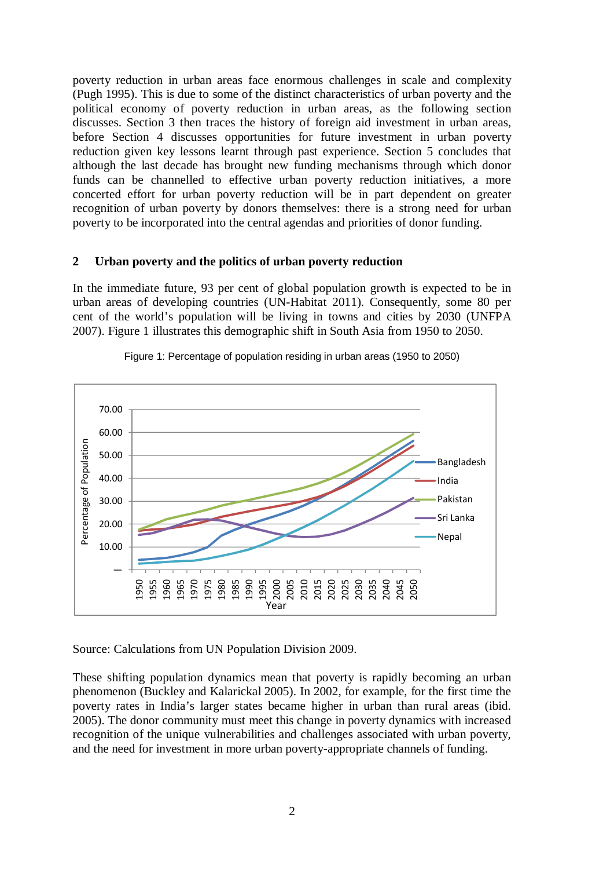poverty reduction in urban areas face enormous challenges in scale and complexity (Pugh 1995). This is due to some of the distinct characteristics of urban poverty and the political economy of poverty reduction in urban areas, as the following section discusses. Section 3 then traces the history of foreign aid investment in urban areas, before Section 4 discusses opportunities for future investment in urban poverty reduction given key lessons learnt through past experience. Section 5 concludes that although the last decade has brought new funding mechanisms through which donor funds can be channelled to effective urban poverty reduction initiatives, a more concerted effort for urban poverty reduction will be in part dependent on greater recognition of urban poverty by donors themselves: there is a strong need for urban poverty to be incorporated into the central agendas and priorities of donor funding.

#### **2 Urban poverty and the politics of urban poverty reduction**

In the immediate future, 93 per cent of global population growth is expected to be in urban areas of developing countries (UN-Habitat 2011). Consequently, some 80 per cent of the world's population will be living in towns and cities by 2030 (UNFPA 2007). Figure 1 illustrates this demographic shift in South Asia from 1950 to 2050.



Figure 1: Percentage of population residing in urban areas (1950 to 2050)

Source: Calculations from UN Population Division 2009.

These shifting population dynamics mean that poverty is rapidly becoming an urban phenomenon (Buckley and Kalarickal 2005). In 2002, for example, for the first time the poverty rates in India's larger states became higher in urban than rural areas (ibid. 2005). The donor community must meet this change in poverty dynamics with increased recognition of the unique vulnerabilities and challenges associated with urban poverty, and the need for investment in more urban poverty-appropriate channels of funding.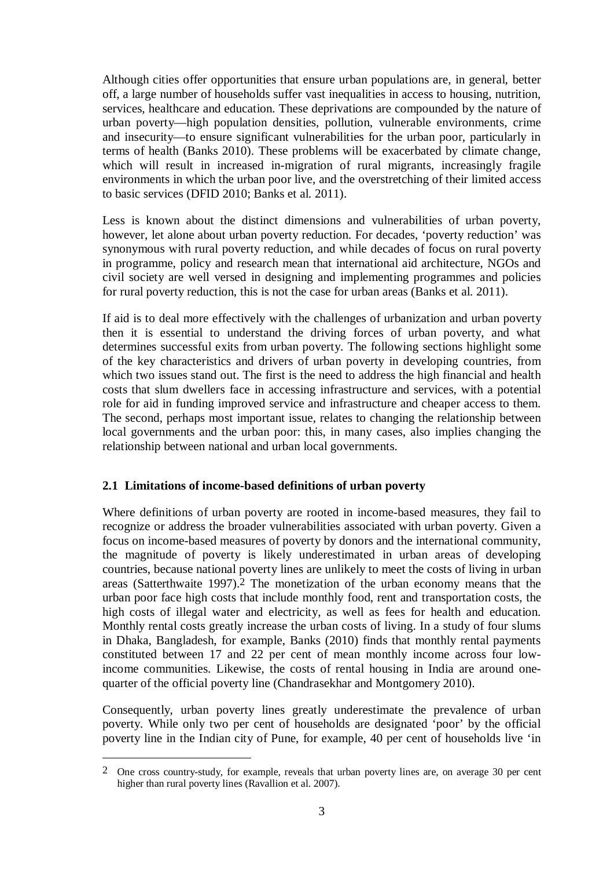Although cities offer opportunities that ensure urban populations are, in general, better off, a large number of households suffer vast inequalities in access to housing, nutrition, services, healthcare and education. These deprivations are compounded by the nature of urban poverty—high population densities, pollution, vulnerable environments, crime and insecurity—to ensure significant vulnerabilities for the urban poor, particularly in terms of health (Banks 2010). These problems will be exacerbated by climate change, which will result in increased in-migration of rural migrants, increasingly fragile environments in which the urban poor live, and the overstretching of their limited access to basic services (DFID 2010; Banks et al. 2011).

Less is known about the distinct dimensions and vulnerabilities of urban poverty, however, let alone about urban poverty reduction. For decades, 'poverty reduction' was synonymous with rural poverty reduction, and while decades of focus on rural poverty in programme, policy and research mean that international aid architecture, NGOs and civil society are well versed in designing and implementing programmes and policies for rural poverty reduction, this is not the case for urban areas (Banks et al. 2011).

If aid is to deal more effectively with the challenges of urbanization and urban poverty then it is essential to understand the driving forces of urban poverty, and what determines successful exits from urban poverty. The following sections highlight some of the key characteristics and drivers of urban poverty in developing countries, from which two issues stand out. The first is the need to address the high financial and health costs that slum dwellers face in accessing infrastructure and services, with a potential role for aid in funding improved service and infrastructure and cheaper access to them. The second, perhaps most important issue, relates to changing the relationship between local governments and the urban poor: this, in many cases, also implies changing the relationship between national and urban local governments.

# **2.1 Limitations of income-based definitions of urban poverty**

1

Where definitions of urban poverty are rooted in income-based measures, they fail to recognize or address the broader vulnerabilities associated with urban poverty. Given a focus on income-based measures of poverty by donors and the international community, the magnitude of poverty is likely underestimated in urban areas of developing countries, because national poverty lines are unlikely to meet the costs of living in urban areas (Satterthwaite 1997).2 The monetization of the urban economy means that the urban poor face high costs that include monthly food, rent and transportation costs, the high costs of illegal water and electricity, as well as fees for health and education. Monthly rental costs greatly increase the urban costs of living. In a study of four slums in Dhaka, Bangladesh, for example, Banks (2010) finds that monthly rental payments constituted between 17 and 22 per cent of mean monthly income across four lowincome communities. Likewise, the costs of rental housing in India are around onequarter of the official poverty line (Chandrasekhar and Montgomery 2010).

Consequently, urban poverty lines greatly underestimate the prevalence of urban poverty. While only two per cent of households are designated 'poor' by the official poverty line in the Indian city of Pune, for example, 40 per cent of households live 'in

<sup>2</sup> One cross country-study, for example, reveals that urban poverty lines are, on average 30 per cent higher than rural poverty lines (Ravallion et al. 2007).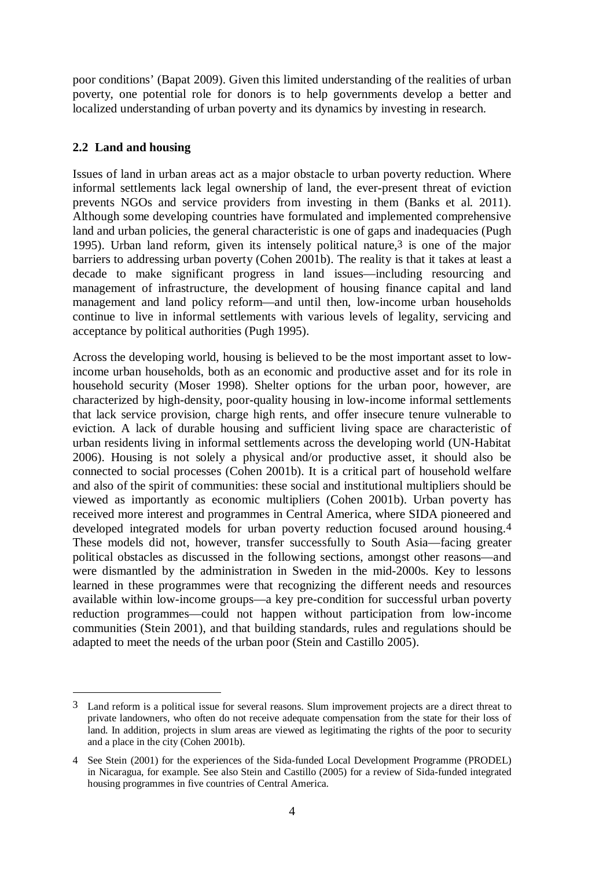poor conditions' (Bapat 2009). Given this limited understanding of the realities of urban poverty, one potential role for donors is to help governments develop a better and localized understanding of urban poverty and its dynamics by investing in research.

# **2.2 Land and housing**

 $\overline{a}$ 

Issues of land in urban areas act as a major obstacle to urban poverty reduction. Where informal settlements lack legal ownership of land, the ever-present threat of eviction prevents NGOs and service providers from investing in them (Banks et al. 2011). Although some developing countries have formulated and implemented comprehensive land and urban policies, the general characteristic is one of gaps and inadequacies (Pugh 1995). Urban land reform, given its intensely political nature,3 is one of the major barriers to addressing urban poverty (Cohen 2001b). The reality is that it takes at least a decade to make significant progress in land issues—including resourcing and management of infrastructure, the development of housing finance capital and land management and land policy reform—and until then, low-income urban households continue to live in informal settlements with various levels of legality, servicing and acceptance by political authorities (Pugh 1995).

Across the developing world, housing is believed to be the most important asset to lowincome urban households, both as an economic and productive asset and for its role in household security (Moser 1998). Shelter options for the urban poor, however, are characterized by high-density, poor-quality housing in low-income informal settlements that lack service provision, charge high rents, and offer insecure tenure vulnerable to eviction. A lack of durable housing and sufficient living space are characteristic of urban residents living in informal settlements across the developing world (UN-Habitat 2006). Housing is not solely a physical and/or productive asset, it should also be connected to social processes (Cohen 2001b). It is a critical part of household welfare and also of the spirit of communities: these social and institutional multipliers should be viewed as importantly as economic multipliers (Cohen 2001b). Urban poverty has received more interest and programmes in Central America, where SIDA pioneered and developed integrated models for urban poverty reduction focused around housing.4 These models did not, however, transfer successfully to South Asia—facing greater political obstacles as discussed in the following sections, amongst other reasons—and were dismantled by the administration in Sweden in the mid-2000s. Key to lessons learned in these programmes were that recognizing the different needs and resources available within low-income groups—a key pre-condition for successful urban poverty reduction programmes—could not happen without participation from low-income communities (Stein 2001), and that building standards, rules and regulations should be adapted to meet the needs of the urban poor (Stein and Castillo 2005).

<sup>3</sup> Land reform is a political issue for several reasons. Slum improvement projects are a direct threat to private landowners, who often do not receive adequate compensation from the state for their loss of land. In addition, projects in slum areas are viewed as legitimating the rights of the poor to security and a place in the city (Cohen 2001b).

<sup>4</sup> See Stein (2001) for the experiences of the Sida-funded Local Development Programme (PRODEL) in Nicaragua, for example. See also Stein and Castillo (2005) for a review of Sida-funded integrated housing programmes in five countries of Central America.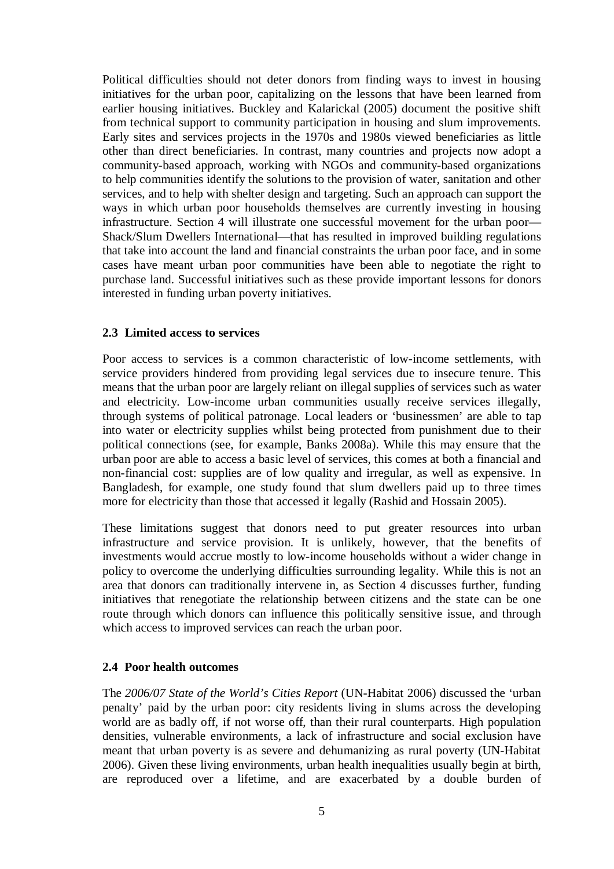Political difficulties should not deter donors from finding ways to invest in housing initiatives for the urban poor, capitalizing on the lessons that have been learned from earlier housing initiatives. Buckley and Kalarickal (2005) document the positive shift from technical support to community participation in housing and slum improvements. Early sites and services projects in the 1970s and 1980s viewed beneficiaries as little other than direct beneficiaries. In contrast, many countries and projects now adopt a community-based approach, working with NGOs and community-based organizations to help communities identify the solutions to the provision of water, sanitation and other services, and to help with shelter design and targeting. Such an approach can support the ways in which urban poor households themselves are currently investing in housing infrastructure. Section 4 will illustrate one successful movement for the urban poor— Shack/Slum Dwellers International—that has resulted in improved building regulations that take into account the land and financial constraints the urban poor face, and in some cases have meant urban poor communities have been able to negotiate the right to purchase land. Successful initiatives such as these provide important lessons for donors interested in funding urban poverty initiatives.

## **2.3 Limited access to services**

Poor access to services is a common characteristic of low-income settlements, with service providers hindered from providing legal services due to insecure tenure. This means that the urban poor are largely reliant on illegal supplies of services such as water and electricity. Low-income urban communities usually receive services illegally, through systems of political patronage. Local leaders or 'businessmen' are able to tap into water or electricity supplies whilst being protected from punishment due to their political connections (see, for example, Banks 2008a). While this may ensure that the urban poor are able to access a basic level of services, this comes at both a financial and non-financial cost: supplies are of low quality and irregular, as well as expensive. In Bangladesh, for example, one study found that slum dwellers paid up to three times more for electricity than those that accessed it legally (Rashid and Hossain 2005).

These limitations suggest that donors need to put greater resources into urban infrastructure and service provision. It is unlikely, however, that the benefits of investments would accrue mostly to low-income households without a wider change in policy to overcome the underlying difficulties surrounding legality. While this is not an area that donors can traditionally intervene in, as Section 4 discusses further, funding initiatives that renegotiate the relationship between citizens and the state can be one route through which donors can influence this politically sensitive issue, and through which access to improved services can reach the urban poor.

## **2.4 Poor health outcomes**

The *2006/07 State of the World's Cities Report* (UN-Habitat 2006) discussed the 'urban penalty' paid by the urban poor: city residents living in slums across the developing world are as badly off, if not worse off, than their rural counterparts. High population densities, vulnerable environments, a lack of infrastructure and social exclusion have meant that urban poverty is as severe and dehumanizing as rural poverty (UN-Habitat 2006). Given these living environments, urban health inequalities usually begin at birth, are reproduced over a lifetime, and are exacerbated by a double burden of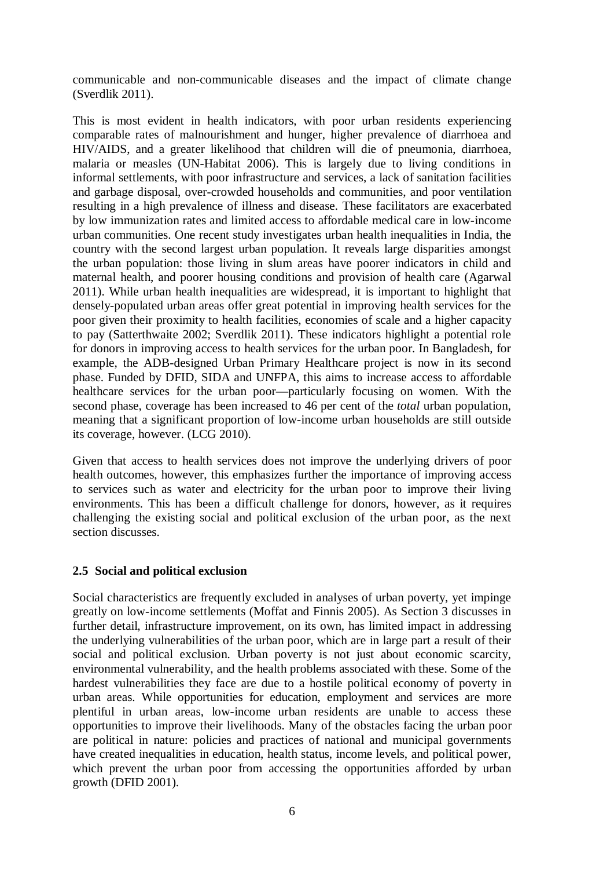communicable and non-communicable diseases and the impact of climate change (Sverdlik 2011).

This is most evident in health indicators, with poor urban residents experiencing comparable rates of malnourishment and hunger, higher prevalence of diarrhoea and HIV/AIDS, and a greater likelihood that children will die of pneumonia, diarrhoea, malaria or measles (UN-Habitat 2006). This is largely due to living conditions in informal settlements, with poor infrastructure and services, a lack of sanitation facilities and garbage disposal, over-crowded households and communities, and poor ventilation resulting in a high prevalence of illness and disease. These facilitators are exacerbated by low immunization rates and limited access to affordable medical care in low-income urban communities. One recent study investigates urban health inequalities in India, the country with the second largest urban population. It reveals large disparities amongst the urban population: those living in slum areas have poorer indicators in child and maternal health, and poorer housing conditions and provision of health care (Agarwal 2011). While urban health inequalities are widespread, it is important to highlight that densely-populated urban areas offer great potential in improving health services for the poor given their proximity to health facilities, economies of scale and a higher capacity to pay (Satterthwaite 2002; Sverdlik 2011). These indicators highlight a potential role for donors in improving access to health services for the urban poor. In Bangladesh, for example, the ADB-designed Urban Primary Healthcare project is now in its second phase. Funded by DFID, SIDA and UNFPA, this aims to increase access to affordable healthcare services for the urban poor—particularly focusing on women. With the second phase, coverage has been increased to 46 per cent of the *total* urban population, meaning that a significant proportion of low-income urban households are still outside its coverage, however. (LCG 2010).

Given that access to health services does not improve the underlying drivers of poor health outcomes, however, this emphasizes further the importance of improving access to services such as water and electricity for the urban poor to improve their living environments. This has been a difficult challenge for donors, however, as it requires challenging the existing social and political exclusion of the urban poor, as the next section discusses.

## **2.5 Social and political exclusion**

Social characteristics are frequently excluded in analyses of urban poverty, yet impinge greatly on low-income settlements (Moffat and Finnis 2005). As Section 3 discusses in further detail, infrastructure improvement, on its own, has limited impact in addressing the underlying vulnerabilities of the urban poor, which are in large part a result of their social and political exclusion. Urban poverty is not just about economic scarcity, environmental vulnerability, and the health problems associated with these. Some of the hardest vulnerabilities they face are due to a hostile political economy of poverty in urban areas. While opportunities for education, employment and services are more plentiful in urban areas, low-income urban residents are unable to access these opportunities to improve their livelihoods. Many of the obstacles facing the urban poor are political in nature: policies and practices of national and municipal governments have created inequalities in education, health status, income levels, and political power, which prevent the urban poor from accessing the opportunities afforded by urban growth (DFID 2001).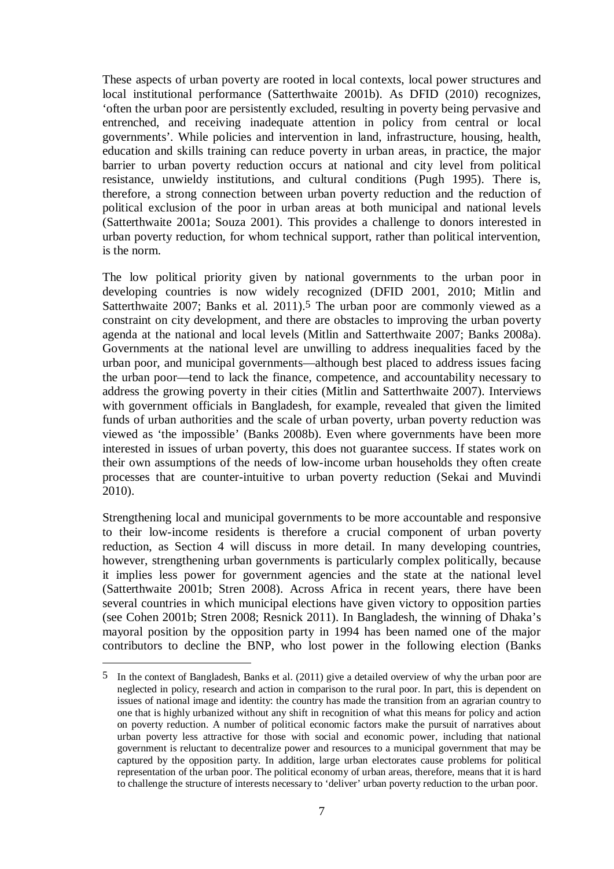These aspects of urban poverty are rooted in local contexts, local power structures and local institutional performance (Satterthwaite 2001b). As DFID (2010) recognizes, 'often the urban poor are persistently excluded, resulting in poverty being pervasive and entrenched, and receiving inadequate attention in policy from central or local governments'. While policies and intervention in land, infrastructure, housing, health, education and skills training can reduce poverty in urban areas, in practice, the major barrier to urban poverty reduction occurs at national and city level from political resistance, unwieldy institutions, and cultural conditions (Pugh 1995). There is, therefore, a strong connection between urban poverty reduction and the reduction of political exclusion of the poor in urban areas at both municipal and national levels (Satterthwaite 2001a; Souza 2001). This provides a challenge to donors interested in urban poverty reduction, for whom technical support, rather than political intervention, is the norm.

The low political priority given by national governments to the urban poor in developing countries is now widely recognized (DFID 2001, 2010; Mitlin and Satterthwaite 2007; Banks et al. 2011).<sup>5</sup> The urban poor are commonly viewed as a constraint on city development, and there are obstacles to improving the urban poverty agenda at the national and local levels (Mitlin and Satterthwaite 2007; Banks 2008a). Governments at the national level are unwilling to address inequalities faced by the urban poor, and municipal governments—although best placed to address issues facing the urban poor—tend to lack the finance, competence, and accountability necessary to address the growing poverty in their cities (Mitlin and Satterthwaite 2007). Interviews with government officials in Bangladesh, for example, revealed that given the limited funds of urban authorities and the scale of urban poverty, urban poverty reduction was viewed as 'the impossible' (Banks 2008b). Even where governments have been more interested in issues of urban poverty, this does not guarantee success. If states work on their own assumptions of the needs of low-income urban households they often create processes that are counter-intuitive to urban poverty reduction (Sekai and Muvindi 2010).

Strengthening local and municipal governments to be more accountable and responsive to their low-income residents is therefore a crucial component of urban poverty reduction, as Section 4 will discuss in more detail. In many developing countries, however, strengthening urban governments is particularly complex politically, because it implies less power for government agencies and the state at the national level (Satterthwaite 2001b; Stren 2008). Across Africa in recent years, there have been several countries in which municipal elections have given victory to opposition parties (see Cohen 2001b; Stren 2008; Resnick 2011). In Bangladesh, the winning of Dhaka's mayoral position by the opposition party in 1994 has been named one of the major contributors to decline the BNP, who lost power in the following election (Banks

1

<sup>5</sup> In the context of Bangladesh, Banks et al. (2011) give a detailed overview of why the urban poor are neglected in policy, research and action in comparison to the rural poor. In part, this is dependent on issues of national image and identity: the country has made the transition from an agrarian country to one that is highly urbanized without any shift in recognition of what this means for policy and action on poverty reduction. A number of political economic factors make the pursuit of narratives about urban poverty less attractive for those with social and economic power, including that national government is reluctant to decentralize power and resources to a municipal government that may be captured by the opposition party. In addition, large urban electorates cause problems for political representation of the urban poor. The political economy of urban areas, therefore, means that it is hard to challenge the structure of interests necessary to 'deliver' urban poverty reduction to the urban poor.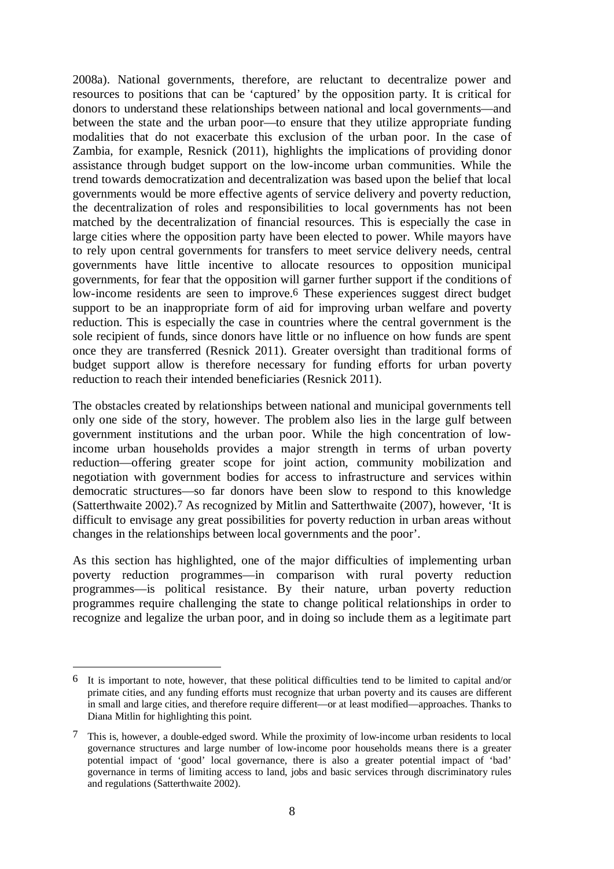2008a). National governments, therefore, are reluctant to decentralize power and resources to positions that can be 'captured' by the opposition party. It is critical for donors to understand these relationships between national and local governments—and between the state and the urban poor—to ensure that they utilize appropriate funding modalities that do not exacerbate this exclusion of the urban poor. In the case of Zambia, for example, Resnick (2011), highlights the implications of providing donor assistance through budget support on the low-income urban communities. While the trend towards democratization and decentralization was based upon the belief that local governments would be more effective agents of service delivery and poverty reduction, the decentralization of roles and responsibilities to local governments has not been matched by the decentralization of financial resources. This is especially the case in large cities where the opposition party have been elected to power. While mayors have to rely upon central governments for transfers to meet service delivery needs, central governments have little incentive to allocate resources to opposition municipal governments, for fear that the opposition will garner further support if the conditions of low-income residents are seen to improve.6 These experiences suggest direct budget support to be an inappropriate form of aid for improving urban welfare and poverty reduction. This is especially the case in countries where the central government is the sole recipient of funds, since donors have little or no influence on how funds are spent once they are transferred (Resnick 2011). Greater oversight than traditional forms of budget support allow is therefore necessary for funding efforts for urban poverty reduction to reach their intended beneficiaries (Resnick 2011).

The obstacles created by relationships between national and municipal governments tell only one side of the story, however. The problem also lies in the large gulf between government institutions and the urban poor. While the high concentration of lowincome urban households provides a major strength in terms of urban poverty reduction—offering greater scope for joint action, community mobilization and negotiation with government bodies for access to infrastructure and services within democratic structures—so far donors have been slow to respond to this knowledge (Satterthwaite 2002).7 As recognized by Mitlin and Satterthwaite (2007), however, 'It is difficult to envisage any great possibilities for poverty reduction in urban areas without changes in the relationships between local governments and the poor'.

As this section has highlighted, one of the major difficulties of implementing urban poverty reduction programmes—in comparison with rural poverty reduction programmes—is political resistance. By their nature, urban poverty reduction programmes require challenging the state to change political relationships in order to recognize and legalize the urban poor, and in doing so include them as a legitimate part

<sup>6</sup> It is important to note, however, that these political difficulties tend to be limited to capital and/or primate cities, and any funding efforts must recognize that urban poverty and its causes are different in small and large cities, and therefore require different—or at least modified—approaches. Thanks to Diana Mitlin for highlighting this point.

<sup>7</sup> This is, however, a double-edged sword. While the proximity of low-income urban residents to local governance structures and large number of low-income poor households means there is a greater potential impact of 'good' local governance, there is also a greater potential impact of 'bad' governance in terms of limiting access to land, jobs and basic services through discriminatory rules and regulations (Satterthwaite 2002).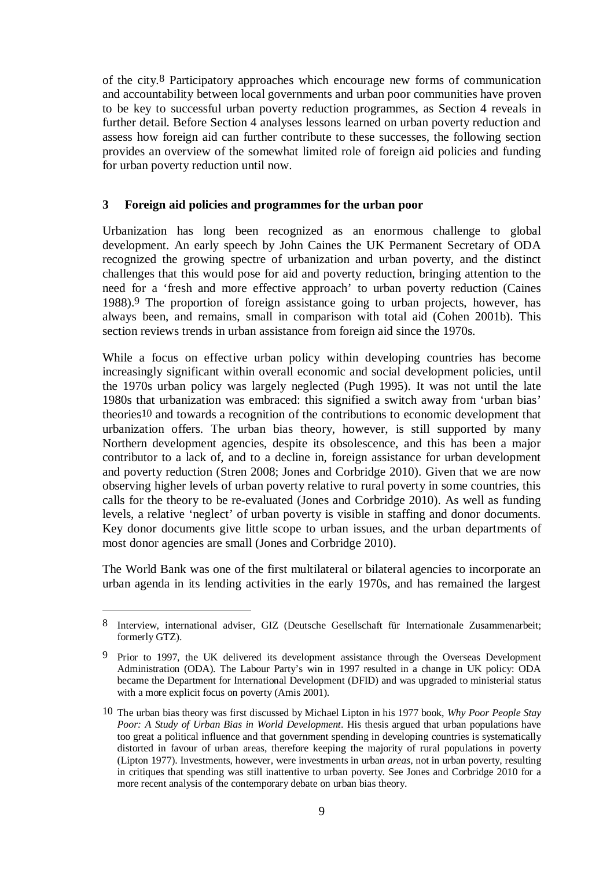of the city.8 Participatory approaches which encourage new forms of communication and accountability between local governments and urban poor communities have proven to be key to successful urban poverty reduction programmes, as Section 4 reveals in further detail. Before Section 4 analyses lessons learned on urban poverty reduction and assess how foreign aid can further contribute to these successes, the following section provides an overview of the somewhat limited role of foreign aid policies and funding for urban poverty reduction until now.

# **3 Foreign aid policies and programmes for the urban poor**

Urbanization has long been recognized as an enormous challenge to global development. An early speech by John Caines the UK Permanent Secretary of ODA recognized the growing spectre of urbanization and urban poverty, and the distinct challenges that this would pose for aid and poverty reduction, bringing attention to the need for a 'fresh and more effective approach' to urban poverty reduction (Caines 1988).9 The proportion of foreign assistance going to urban projects, however, has always been, and remains, small in comparison with total aid (Cohen 2001b). This section reviews trends in urban assistance from foreign aid since the 1970s.

While a focus on effective urban policy within developing countries has become increasingly significant within overall economic and social development policies, until the 1970s urban policy was largely neglected (Pugh 1995). It was not until the late 1980s that urbanization was embraced: this signified a switch away from 'urban bias' theories10 and towards a recognition of the contributions to economic development that urbanization offers. The urban bias theory, however, is still supported by many Northern development agencies, despite its obsolescence, and this has been a major contributor to a lack of, and to a decline in, foreign assistance for urban development and poverty reduction (Stren 2008; Jones and Corbridge 2010). Given that we are now observing higher levels of urban poverty relative to rural poverty in some countries, this calls for the theory to be re-evaluated (Jones and Corbridge 2010). As well as funding levels, a relative 'neglect' of urban poverty is visible in staffing and donor documents. Key donor documents give little scope to urban issues, and the urban departments of most donor agencies are small (Jones and Corbridge 2010).

The World Bank was one of the first multilateral or bilateral agencies to incorporate an urban agenda in its lending activities in the early 1970s, and has remained the largest

<u>.</u>

<sup>8</sup> Interview, international adviser, GIZ (Deutsche Gesellschaft für Internationale Zusammenarbeit; formerly GTZ).

<sup>9</sup> Prior to 1997, the UK delivered its development assistance through the Overseas Development Administration (ODA). The Labour Party's win in 1997 resulted in a change in UK policy: ODA became the Department for International Development (DFID) and was upgraded to ministerial status with a more explicit focus on poverty (Amis 2001).

<sup>10</sup> The urban bias theory was first discussed by Michael Lipton in his 1977 book, *Why Poor People Stay Poor: A Study of Urban Bias in World Development*. His thesis argued that urban populations have too great a political influence and that government spending in developing countries is systematically distorted in favour of urban areas, therefore keeping the majority of rural populations in poverty (Lipton 1977). Investments, however, were investments in urban *areas*, not in urban poverty, resulting in critiques that spending was still inattentive to urban poverty. See Jones and Corbridge 2010 for a more recent analysis of the contemporary debate on urban bias theory.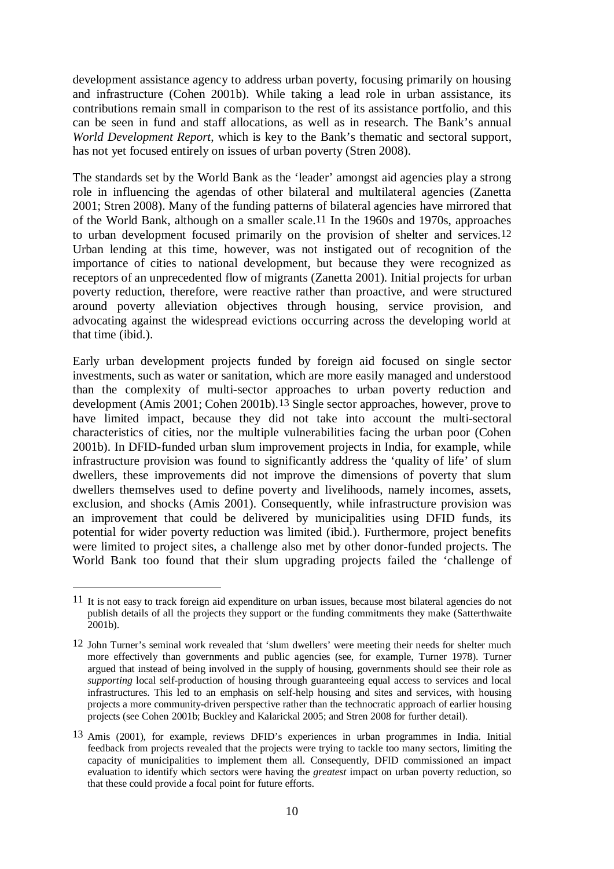development assistance agency to address urban poverty, focusing primarily on housing and infrastructure (Cohen 2001b). While taking a lead role in urban assistance, its contributions remain small in comparison to the rest of its assistance portfolio, and this can be seen in fund and staff allocations, as well as in research. The Bank's annual *World Development Report*, which is key to the Bank's thematic and sectoral support, has not yet focused entirely on issues of urban poverty (Stren 2008).

The standards set by the World Bank as the 'leader' amongst aid agencies play a strong role in influencing the agendas of other bilateral and multilateral agencies (Zanetta 2001; Stren 2008). Many of the funding patterns of bilateral agencies have mirrored that of the World Bank, although on a smaller scale.11 In the 1960s and 1970s, approaches to urban development focused primarily on the provision of shelter and services.12 Urban lending at this time, however, was not instigated out of recognition of the importance of cities to national development, but because they were recognized as receptors of an unprecedented flow of migrants (Zanetta 2001). Initial projects for urban poverty reduction, therefore, were reactive rather than proactive, and were structured around poverty alleviation objectives through housing, service provision, and advocating against the widespread evictions occurring across the developing world at that time (ibid.).

Early urban development projects funded by foreign aid focused on single sector investments, such as water or sanitation, which are more easily managed and understood than the complexity of multi-sector approaches to urban poverty reduction and development (Amis 2001; Cohen 2001b).13 Single sector approaches, however, prove to have limited impact, because they did not take into account the multi-sectoral characteristics of cities, nor the multiple vulnerabilities facing the urban poor (Cohen 2001b). In DFID-funded urban slum improvement projects in India, for example, while infrastructure provision was found to significantly address the 'quality of life' of slum dwellers, these improvements did not improve the dimensions of poverty that slum dwellers themselves used to define poverty and livelihoods, namely incomes, assets, exclusion, and shocks (Amis 2001). Consequently, while infrastructure provision was an improvement that could be delivered by municipalities using DFID funds, its potential for wider poverty reduction was limited (ibid.). Furthermore, project benefits were limited to project sites, a challenge also met by other donor-funded projects. The World Bank too found that their slum upgrading projects failed the 'challenge of

<sup>11</sup> It is not easy to track foreign aid expenditure on urban issues, because most bilateral agencies do not publish details of all the projects they support or the funding commitments they make (Satterthwaite 2001b).

<sup>12</sup> John Turner's seminal work revealed that 'slum dwellers' were meeting their needs for shelter much more effectively than governments and public agencies (see, for example, Turner 1978). Turner argued that instead of being involved in the supply of housing, governments should see their role as *supporting* local self-production of housing through guaranteeing equal access to services and local infrastructures. This led to an emphasis on self-help housing and sites and services, with housing projects a more community-driven perspective rather than the technocratic approach of earlier housing projects (see Cohen 2001b; Buckley and Kalarickal 2005; and Stren 2008 for further detail).

<sup>13</sup> Amis (2001), for example, reviews DFID's experiences in urban programmes in India. Initial feedback from projects revealed that the projects were trying to tackle too many sectors, limiting the capacity of municipalities to implement them all. Consequently, DFID commissioned an impact evaluation to identify which sectors were having the *greatest* impact on urban poverty reduction, so that these could provide a focal point for future efforts.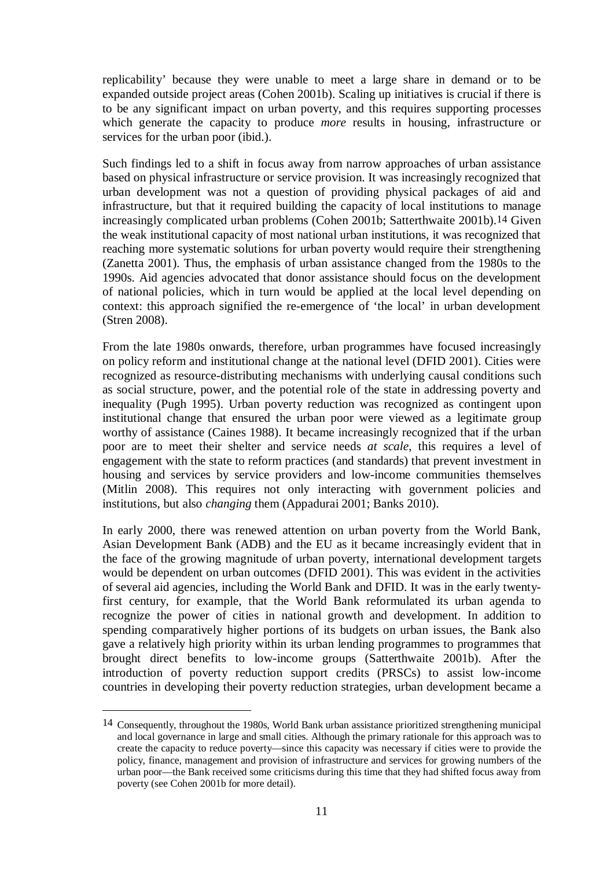replicability' because they were unable to meet a large share in demand or to be expanded outside project areas (Cohen 2001b). Scaling up initiatives is crucial if there is to be any significant impact on urban poverty, and this requires supporting processes which generate the capacity to produce *more* results in housing, infrastructure or services for the urban poor (ibid.).

Such findings led to a shift in focus away from narrow approaches of urban assistance based on physical infrastructure or service provision. It was increasingly recognized that urban development was not a question of providing physical packages of aid and infrastructure, but that it required building the capacity of local institutions to manage increasingly complicated urban problems (Cohen 2001b; Satterthwaite 2001b).14 Given the weak institutional capacity of most national urban institutions, it was recognized that reaching more systematic solutions for urban poverty would require their strengthening (Zanetta 2001). Thus, the emphasis of urban assistance changed from the 1980s to the 1990s. Aid agencies advocated that donor assistance should focus on the development of national policies, which in turn would be applied at the local level depending on context: this approach signified the re-emergence of 'the local' in urban development (Stren 2008).

From the late 1980s onwards, therefore, urban programmes have focused increasingly on policy reform and institutional change at the national level (DFID 2001). Cities were recognized as resource-distributing mechanisms with underlying causal conditions such as social structure, power, and the potential role of the state in addressing poverty and inequality (Pugh 1995). Urban poverty reduction was recognized as contingent upon institutional change that ensured the urban poor were viewed as a legitimate group worthy of assistance (Caines 1988). It became increasingly recognized that if the urban poor are to meet their shelter and service needs *at scale*, this requires a level of engagement with the state to reform practices (and standards) that prevent investment in housing and services by service providers and low-income communities themselves (Mitlin 2008). This requires not only interacting with government policies and institutions, but also *changing* them (Appadurai 2001; Banks 2010).

In early 2000, there was renewed attention on urban poverty from the World Bank, Asian Development Bank (ADB) and the EU as it became increasingly evident that in the face of the growing magnitude of urban poverty, international development targets would be dependent on urban outcomes (DFID 2001). This was evident in the activities of several aid agencies, including the World Bank and DFID. It was in the early twentyfirst century, for example, that the World Bank reformulated its urban agenda to recognize the power of cities in national growth and development. In addition to spending comparatively higher portions of its budgets on urban issues, the Bank also gave a relatively high priority within its urban lending programmes to programmes that brought direct benefits to low-income groups (Satterthwaite 2001b). After the introduction of poverty reduction support credits (PRSCs) to assist low-income countries in developing their poverty reduction strategies, urban development became a

1

<sup>14</sup> Consequently, throughout the 1980s, World Bank urban assistance prioritized strengthening municipal and local governance in large and small cities. Although the primary rationale for this approach was to create the capacity to reduce poverty—since this capacity was necessary if cities were to provide the policy, finance, management and provision of infrastructure and services for growing numbers of the urban poor—the Bank received some criticisms during this time that they had shifted focus away from poverty (see Cohen 2001b for more detail).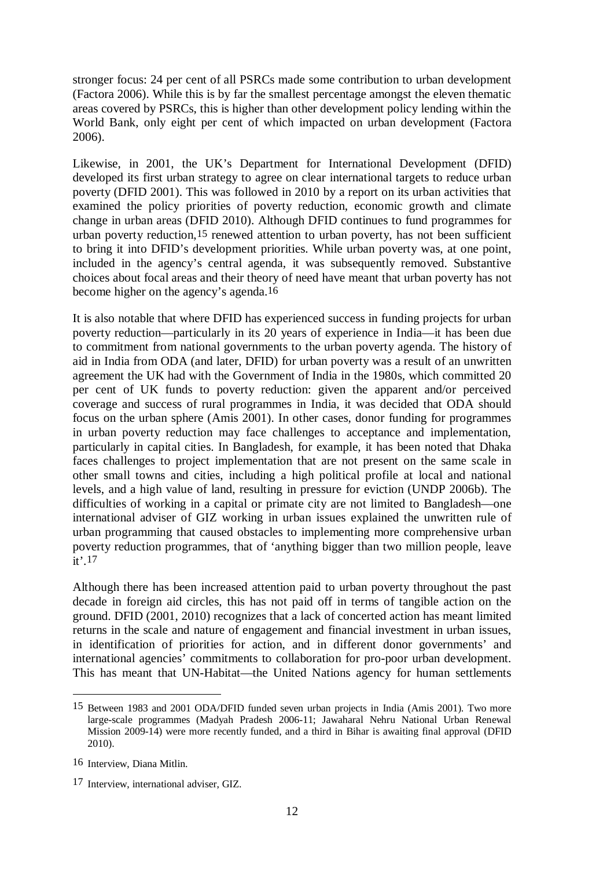stronger focus: 24 per cent of all PSRCs made some contribution to urban development (Factora 2006). While this is by far the smallest percentage amongst the eleven thematic areas covered by PSRCs, this is higher than other development policy lending within the World Bank, only eight per cent of which impacted on urban development (Factora 2006).

Likewise, in 2001, the UK's Department for International Development (DFID) developed its first urban strategy to agree on clear international targets to reduce urban poverty (DFID 2001). This was followed in 2010 by a report on its urban activities that examined the policy priorities of poverty reduction, economic growth and climate change in urban areas (DFID 2010). Although DFID continues to fund programmes for urban poverty reduction,15 renewed attention to urban poverty, has not been sufficient to bring it into DFID's development priorities. While urban poverty was, at one point, included in the agency's central agenda, it was subsequently removed. Substantive choices about focal areas and their theory of need have meant that urban poverty has not become higher on the agency's agenda.16

It is also notable that where DFID has experienced success in funding projects for urban poverty reduction—particularly in its 20 years of experience in India—it has been due to commitment from national governments to the urban poverty agenda. The history of aid in India from ODA (and later, DFID) for urban poverty was a result of an unwritten agreement the UK had with the Government of India in the 1980s, which committed 20 per cent of UK funds to poverty reduction: given the apparent and/or perceived coverage and success of rural programmes in India, it was decided that ODA should focus on the urban sphere (Amis 2001). In other cases, donor funding for programmes in urban poverty reduction may face challenges to acceptance and implementation, particularly in capital cities. In Bangladesh, for example, it has been noted that Dhaka faces challenges to project implementation that are not present on the same scale in other small towns and cities, including a high political profile at local and national levels, and a high value of land, resulting in pressure for eviction (UNDP 2006b). The difficulties of working in a capital or primate city are not limited to Bangladesh—one international adviser of GIZ working in urban issues explained the unwritten rule of urban programming that caused obstacles to implementing more comprehensive urban poverty reduction programmes, that of 'anything bigger than two million people, leave it'.17

Although there has been increased attention paid to urban poverty throughout the past decade in foreign aid circles, this has not paid off in terms of tangible action on the ground. DFID (2001, 2010) recognizes that a lack of concerted action has meant limited returns in the scale and nature of engagement and financial investment in urban issues, in identification of priorities for action, and in different donor governments' and international agencies' commitments to collaboration for pro-poor urban development. This has meant that UN-Habitat—the United Nations agency for human settlements

<sup>15</sup> Between 1983 and 2001 ODA/DFID funded seven urban projects in India (Amis 2001). Two more large-scale programmes (Madyah Pradesh 2006-11; Jawaharal Nehru National Urban Renewal Mission 2009-14) were more recently funded, and a third in Bihar is awaiting final approval (DFID 2010).

<sup>16</sup> Interview, Diana Mitlin.

<sup>17</sup> Interview, international adviser, GIZ.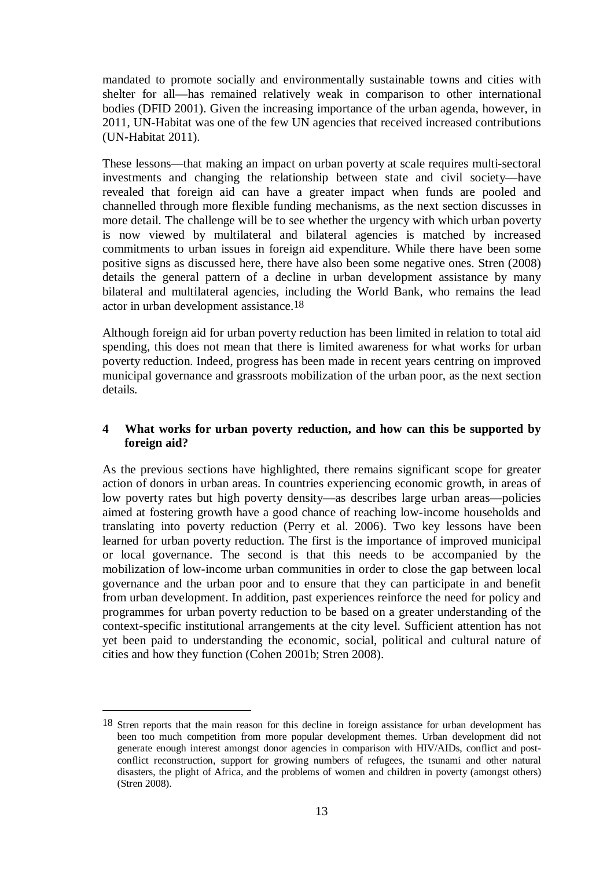mandated to promote socially and environmentally sustainable towns and cities with shelter for all—has remained relatively weak in comparison to other international bodies (DFID 2001). Given the increasing importance of the urban agenda, however, in 2011, UN-Habitat was one of the few UN agencies that received increased contributions (UN-Habitat 2011).

These lessons—that making an impact on urban poverty at scale requires multi-sectoral investments and changing the relationship between state and civil society—have revealed that foreign aid can have a greater impact when funds are pooled and channelled through more flexible funding mechanisms, as the next section discusses in more detail. The challenge will be to see whether the urgency with which urban poverty is now viewed by multilateral and bilateral agencies is matched by increased commitments to urban issues in foreign aid expenditure. While there have been some positive signs as discussed here, there have also been some negative ones. Stren (2008) details the general pattern of a decline in urban development assistance by many bilateral and multilateral agencies, including the World Bank, who remains the lead actor in urban development assistance.18

Although foreign aid for urban poverty reduction has been limited in relation to total aid spending, this does not mean that there is limited awareness for what works for urban poverty reduction. Indeed, progress has been made in recent years centring on improved municipal governance and grassroots mobilization of the urban poor, as the next section details.

# **4 What works for urban poverty reduction, and how can this be supported by foreign aid?**

As the previous sections have highlighted, there remains significant scope for greater action of donors in urban areas. In countries experiencing economic growth, in areas of low poverty rates but high poverty density—as describes large urban areas—policies aimed at fostering growth have a good chance of reaching low-income households and translating into poverty reduction (Perry et al. 2006). Two key lessons have been learned for urban poverty reduction. The first is the importance of improved municipal or local governance. The second is that this needs to be accompanied by the mobilization of low-income urban communities in order to close the gap between local governance and the urban poor and to ensure that they can participate in and benefit from urban development. In addition, past experiences reinforce the need for policy and programmes for urban poverty reduction to be based on a greater understanding of the context-specific institutional arrangements at the city level. Sufficient attention has not yet been paid to understanding the economic, social, political and cultural nature of cities and how they function (Cohen 2001b; Stren 2008).

1

<sup>18</sup> Stren reports that the main reason for this decline in foreign assistance for urban development has been too much competition from more popular development themes. Urban development did not generate enough interest amongst donor agencies in comparison with HIV/AIDs, conflict and postconflict reconstruction, support for growing numbers of refugees, the tsunami and other natural disasters, the plight of Africa, and the problems of women and children in poverty (amongst others) (Stren 2008).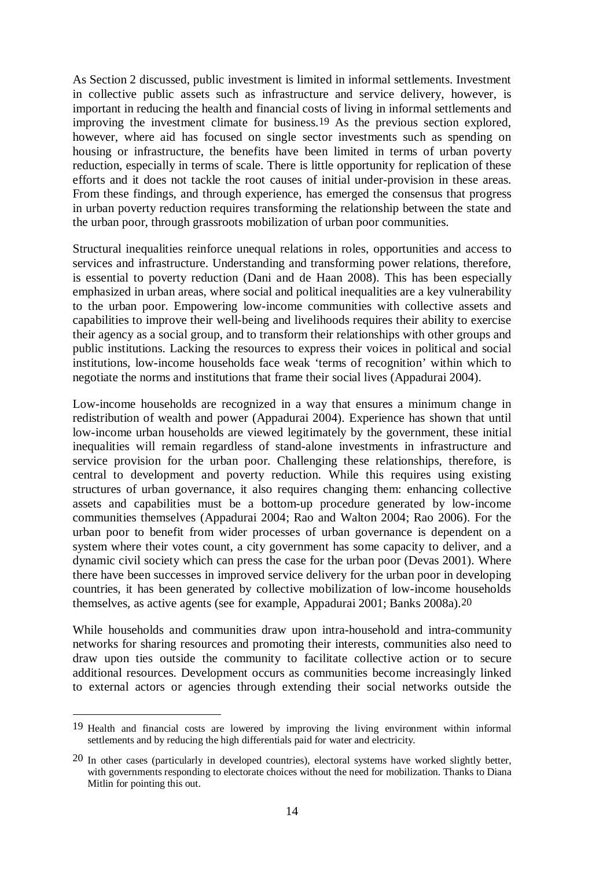As Section 2 discussed, public investment is limited in informal settlements. Investment in collective public assets such as infrastructure and service delivery, however, is important in reducing the health and financial costs of living in informal settlements and improving the investment climate for business.19 As the previous section explored, however, where aid has focused on single sector investments such as spending on housing or infrastructure, the benefits have been limited in terms of urban poverty reduction, especially in terms of scale. There is little opportunity for replication of these efforts and it does not tackle the root causes of initial under-provision in these areas. From these findings, and through experience, has emerged the consensus that progress in urban poverty reduction requires transforming the relationship between the state and the urban poor, through grassroots mobilization of urban poor communities.

Structural inequalities reinforce unequal relations in roles, opportunities and access to services and infrastructure. Understanding and transforming power relations, therefore, is essential to poverty reduction (Dani and de Haan 2008). This has been especially emphasized in urban areas, where social and political inequalities are a key vulnerability to the urban poor. Empowering low-income communities with collective assets and capabilities to improve their well-being and livelihoods requires their ability to exercise their agency as a social group, and to transform their relationships with other groups and public institutions. Lacking the resources to express their voices in political and social institutions, low-income households face weak 'terms of recognition' within which to negotiate the norms and institutions that frame their social lives (Appadurai 2004).

Low-income households are recognized in a way that ensures a minimum change in redistribution of wealth and power (Appadurai 2004). Experience has shown that until low-income urban households are viewed legitimately by the government, these initial inequalities will remain regardless of stand-alone investments in infrastructure and service provision for the urban poor. Challenging these relationships, therefore, is central to development and poverty reduction. While this requires using existing structures of urban governance, it also requires changing them: enhancing collective assets and capabilities must be a bottom-up procedure generated by low-income communities themselves (Appadurai 2004; Rao and Walton 2004; Rao 2006). For the urban poor to benefit from wider processes of urban governance is dependent on a system where their votes count, a city government has some capacity to deliver, and a dynamic civil society which can press the case for the urban poor (Devas 2001). Where there have been successes in improved service delivery for the urban poor in developing countries, it has been generated by collective mobilization of low-income households themselves, as active agents (see for example, Appadurai 2001; Banks 2008a).20

While households and communities draw upon intra-household and intra-community networks for sharing resources and promoting their interests, communities also need to draw upon ties outside the community to facilitate collective action or to secure additional resources. Development occurs as communities become increasingly linked to external actors or agencies through extending their social networks outside the

<sup>19</sup> Health and financial costs are lowered by improving the living environment within informal settlements and by reducing the high differentials paid for water and electricity.

<sup>20</sup> In other cases (particularly in developed countries), electoral systems have worked slightly better, with governments responding to electorate choices without the need for mobilization. Thanks to Diana Mitlin for pointing this out.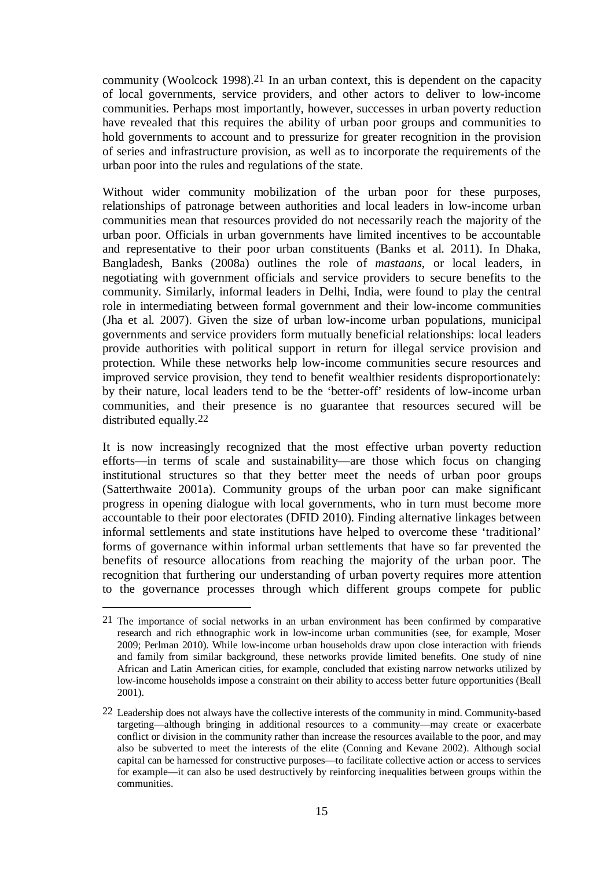community (Woolcock 1998).21 In an urban context, this is dependent on the capacity of local governments, service providers, and other actors to deliver to low-income communities. Perhaps most importantly, however, successes in urban poverty reduction have revealed that this requires the ability of urban poor groups and communities to hold governments to account and to pressurize for greater recognition in the provision of series and infrastructure provision, as well as to incorporate the requirements of the urban poor into the rules and regulations of the state.

Without wider community mobilization of the urban poor for these purposes, relationships of patronage between authorities and local leaders in low-income urban communities mean that resources provided do not necessarily reach the majority of the urban poor. Officials in urban governments have limited incentives to be accountable and representative to their poor urban constituents (Banks et al. 2011). In Dhaka, Bangladesh, Banks (2008a) outlines the role of *mastaans*, or local leaders, in negotiating with government officials and service providers to secure benefits to the community. Similarly, informal leaders in Delhi, India, were found to play the central role in intermediating between formal government and their low-income communities (Jha et al. 2007). Given the size of urban low-income urban populations, municipal governments and service providers form mutually beneficial relationships: local leaders provide authorities with political support in return for illegal service provision and protection. While these networks help low-income communities secure resources and improved service provision, they tend to benefit wealthier residents disproportionately: by their nature, local leaders tend to be the 'better-off' residents of low-income urban communities, and their presence is no guarantee that resources secured will be distributed equally.22

It is now increasingly recognized that the most effective urban poverty reduction efforts—in terms of scale and sustainability—are those which focus on changing institutional structures so that they better meet the needs of urban poor groups (Satterthwaite 2001a). Community groups of the urban poor can make significant progress in opening dialogue with local governments, who in turn must become more accountable to their poor electorates (DFID 2010). Finding alternative linkages between informal settlements and state institutions have helped to overcome these 'traditional' forms of governance within informal urban settlements that have so far prevented the benefits of resource allocations from reaching the majority of the urban poor. The recognition that furthering our understanding of urban poverty requires more attention to the governance processes through which different groups compete for public

1

<sup>21</sup> The importance of social networks in an urban environment has been confirmed by comparative research and rich ethnographic work in low-income urban communities (see, for example, Moser 2009; Perlman 2010). While low-income urban households draw upon close interaction with friends and family from similar background, these networks provide limited benefits. One study of nine African and Latin American cities, for example, concluded that existing narrow networks utilized by low-income households impose a constraint on their ability to access better future opportunities (Beall 2001).

<sup>22</sup> Leadership does not always have the collective interests of the community in mind. Community-based targeting—although bringing in additional resources to a community—may create or exacerbate conflict or division in the community rather than increase the resources available to the poor, and may also be subverted to meet the interests of the elite (Conning and Kevane 2002). Although social capital can be harnessed for constructive purposes—to facilitate collective action or access to services for example—it can also be used destructively by reinforcing inequalities between groups within the communities.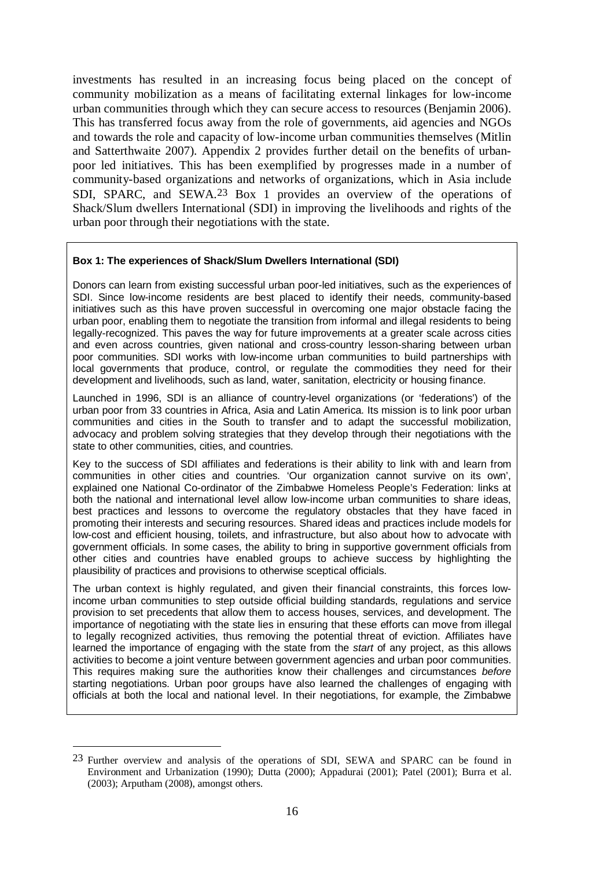investments has resulted in an increasing focus being placed on the concept of community mobilization as a means of facilitating external linkages for low-income urban communities through which they can secure access to resources (Benjamin 2006). This has transferred focus away from the role of governments, aid agencies and NGOs and towards the role and capacity of low-income urban communities themselves (Mitlin and Satterthwaite 2007). Appendix 2 provides further detail on the benefits of urbanpoor led initiatives. This has been exemplified by progresses made in a number of community-based organizations and networks of organizations, which in Asia include SDI, SPARC, and SEWA.23 Box 1 provides an overview of the operations of Shack/Slum dwellers International (SDI) in improving the livelihoods and rights of the urban poor through their negotiations with the state.

#### **Box 1: The experiences of Shack/Slum Dwellers International (SDI)**

Donors can learn from existing successful urban poor-led initiatives, such as the experiences of SDI. Since low-income residents are best placed to identify their needs, community-based initiatives such as this have proven successful in overcoming one major obstacle facing the urban poor, enabling them to negotiate the transition from informal and illegal residents to being legally-recognized. This paves the way for future improvements at a greater scale across cities and even across countries, given national and cross-country lesson-sharing between urban poor communities. SDI works with low-income urban communities to build partnerships with local governments that produce, control, or regulate the commodities they need for their development and livelihoods, such as land, water, sanitation, electricity or housing finance.

Launched in 1996, SDI is an alliance of country-level organizations (or 'federations') of the urban poor from 33 countries in Africa, Asia and Latin America. Its mission is to link poor urban communities and cities in the South to transfer and to adapt the successful mobilization, advocacy and problem solving strategies that they develop through their negotiations with the state to other communities, cities, and countries.

Key to the success of SDI affiliates and federations is their ability to link with and learn from communities in other cities and countries. 'Our organization cannot survive on its own', explained one National Co-ordinator of the Zimbabwe Homeless People's Federation: links at both the national and international level allow low-income urban communities to share ideas, best practices and lessons to overcome the regulatory obstacles that they have faced in promoting their interests and securing resources. Shared ideas and practices include models for low-cost and efficient housing, toilets, and infrastructure, but also about how to advocate with government officials. In some cases, the ability to bring in supportive government officials from other cities and countries have enabled groups to achieve success by highlighting the plausibility of practices and provisions to otherwise sceptical officials.

The urban context is highly regulated, and given their financial constraints, this forces lowincome urban communities to step outside official building standards, regulations and service provision to set precedents that allow them to access houses, services, and development. The importance of negotiating with the state lies in ensuring that these efforts can move from illegal to legally recognized activities, thus removing the potential threat of eviction. Affiliates have learned the importance of engaging with the state from the *start* of any project, as this allows activities to become a joint venture between government agencies and urban poor communities. This requires making sure the authorities know their challenges and circumstances *before*  starting negotiations. Urban poor groups have also learned the challenges of engaging with officials at both the local and national level. In their negotiations, for example, the Zimbabwe

<sup>23</sup> Further overview and analysis of the operations of SDI, SEWA and SPARC can be found in Environment and Urbanization (1990); Dutta (2000); Appadurai (2001); Patel (2001); Burra et al. (2003); Arputham (2008), amongst others.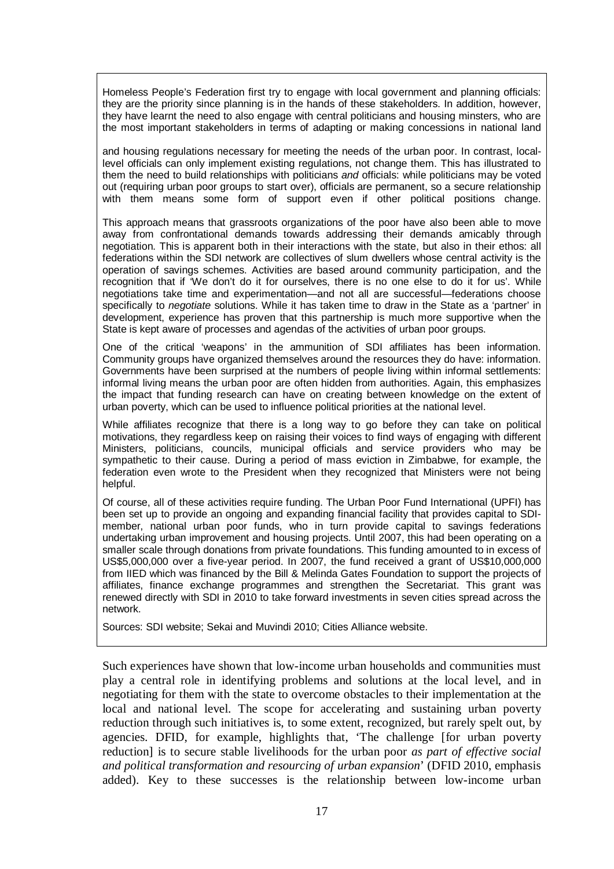Homeless People's Federation first try to engage with local government and planning officials: they are the priority since planning is in the hands of these stakeholders. In addition, however, they have learnt the need to also engage with central politicians and housing minsters, who are the most important stakeholders in terms of adapting or making concessions in national land

and housing regulations necessary for meeting the needs of the urban poor. In contrast, locallevel officials can only implement existing regulations, not change them. This has illustrated to them the need to build relationships with politicians *and* officials: while politicians may be voted out (requiring urban poor groups to start over), officials are permanent, so a secure relationship with them means some form of support even if other political positions change.

This approach means that grassroots organizations of the poor have also been able to move away from confrontational demands towards addressing their demands amicably through negotiation. This is apparent both in their interactions with the state, but also in their ethos: all federations within the SDI network are collectives of slum dwellers whose central activity is the operation of savings schemes. Activities are based around community participation, and the recognition that if 'We don't do it for ourselves, there is no one else to do it for us'. While negotiations take time and experimentation—and not all are successful—federations choose specifically to *negotiate* solutions. While it has taken time to draw in the State as a 'partner' in development, experience has proven that this partnership is much more supportive when the State is kept aware of processes and agendas of the activities of urban poor groups.

One of the critical 'weapons' in the ammunition of SDI affiliates has been information. Community groups have organized themselves around the resources they do have: information. Governments have been surprised at the numbers of people living within informal settlements: informal living means the urban poor are often hidden from authorities. Again, this emphasizes the impact that funding research can have on creating between knowledge on the extent of urban poverty, which can be used to influence political priorities at the national level.

While affiliates recognize that there is a long way to go before they can take on political motivations, they regardless keep on raising their voices to find ways of engaging with different Ministers, politicians, councils, municipal officials and service providers who may be sympathetic to their cause. During a period of mass eviction in Zimbabwe, for example, the federation even wrote to the President when they recognized that Ministers were not being helpful.

Of course, all of these activities require funding. The Urban Poor Fund International (UPFI) has been set up to provide an ongoing and expanding financial facility that provides capital to SDImember, national urban poor funds, who in turn provide capital to savings federations undertaking urban improvement and housing projects. Until 2007, this had been operating on a smaller scale through donations from private foundations. This funding amounted to in excess of US\$5,000,000 over a five-year period. In 2007, the fund received a grant of US\$10,000,000 from IIED which was financed by the Bill & Melinda Gates Foundation to support the projects of affiliates, finance exchange programmes and strengthen the Secretariat. This grant was renewed directly with SDI in 2010 to take forward investments in seven cities spread across the network.

Sources: SDI website; Sekai and Muvindi 2010; Cities Alliance website.

Such experiences have shown that low-income urban households and communities must play a central role in identifying problems and solutions at the local level, and in negotiating for them with the state to overcome obstacles to their implementation at the local and national level. The scope for accelerating and sustaining urban poverty reduction through such initiatives is, to some extent, recognized, but rarely spelt out, by agencies. DFID, for example, highlights that, 'The challenge [for urban poverty reduction] is to secure stable livelihoods for the urban poor *as part of effective social and political transformation and resourcing of urban expansion*' (DFID 2010, emphasis added). Key to these successes is the relationship between low-income urban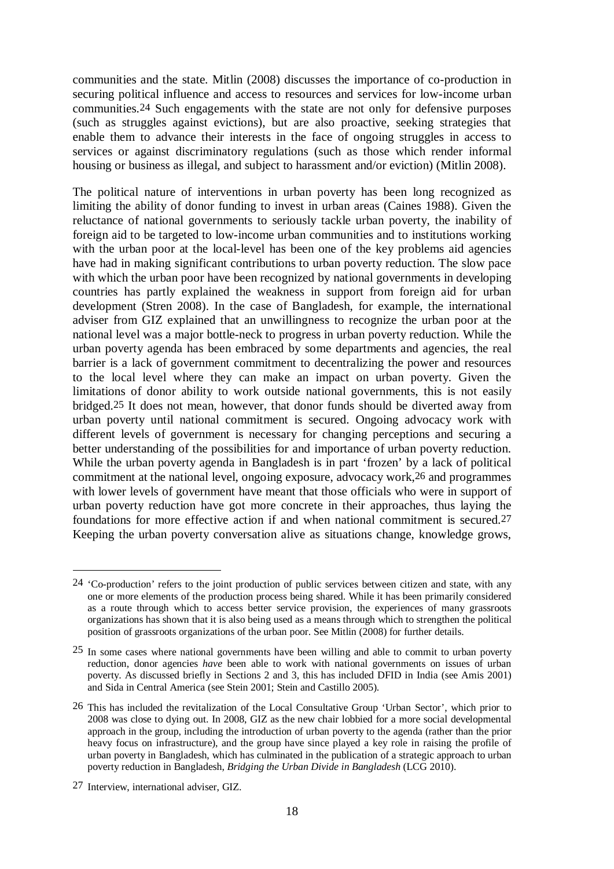communities and the state. Mitlin (2008) discusses the importance of co-production in securing political influence and access to resources and services for low-income urban communities.24 Such engagements with the state are not only for defensive purposes (such as struggles against evictions), but are also proactive, seeking strategies that enable them to advance their interests in the face of ongoing struggles in access to services or against discriminatory regulations (such as those which render informal housing or business as illegal, and subject to harassment and/or eviction) (Mitlin 2008).

The political nature of interventions in urban poverty has been long recognized as limiting the ability of donor funding to invest in urban areas (Caines 1988). Given the reluctance of national governments to seriously tackle urban poverty, the inability of foreign aid to be targeted to low-income urban communities and to institutions working with the urban poor at the local-level has been one of the key problems aid agencies have had in making significant contributions to urban poverty reduction. The slow pace with which the urban poor have been recognized by national governments in developing countries has partly explained the weakness in support from foreign aid for urban development (Stren 2008). In the case of Bangladesh, for example, the international adviser from GIZ explained that an unwillingness to recognize the urban poor at the national level was a major bottle-neck to progress in urban poverty reduction. While the urban poverty agenda has been embraced by some departments and agencies, the real barrier is a lack of government commitment to decentralizing the power and resources to the local level where they can make an impact on urban poverty. Given the limitations of donor ability to work outside national governments, this is not easily bridged.25 It does not mean, however, that donor funds should be diverted away from urban poverty until national commitment is secured. Ongoing advocacy work with different levels of government is necessary for changing perceptions and securing a better understanding of the possibilities for and importance of urban poverty reduction. While the urban poverty agenda in Bangladesh is in part 'frozen' by a lack of political commitment at the national level, ongoing exposure, advocacy work,26 and programmes with lower levels of government have meant that those officials who were in support of urban poverty reduction have got more concrete in their approaches, thus laying the foundations for more effective action if and when national commitment is secured.27 Keeping the urban poverty conversation alive as situations change, knowledge grows,

<sup>24 &#</sup>x27;Co-production' refers to the joint production of public services between citizen and state, with any one or more elements of the production process being shared. While it has been primarily considered as a route through which to access better service provision, the experiences of many grassroots organizations has shown that it is also being used as a means through which to strengthen the political position of grassroots organizations of the urban poor. See Mitlin (2008) for further details.

<sup>25</sup> In some cases where national governments have been willing and able to commit to urban poverty reduction, donor agencies *have* been able to work with national governments on issues of urban poverty. As discussed briefly in Sections 2 and 3, this has included DFID in India (see Amis 2001) and Sida in Central America (see Stein 2001; Stein and Castillo 2005).

<sup>26</sup> This has included the revitalization of the Local Consultative Group 'Urban Sector', which prior to 2008 was close to dying out. In 2008, GIZ as the new chair lobbied for a more social developmental approach in the group, including the introduction of urban poverty to the agenda (rather than the prior heavy focus on infrastructure), and the group have since played a key role in raising the profile of urban poverty in Bangladesh, which has culminated in the publication of a strategic approach to urban poverty reduction in Bangladesh, *Bridging the Urban Divide in Bangladesh* (LCG 2010).

<sup>27</sup> Interview, international adviser, GIZ.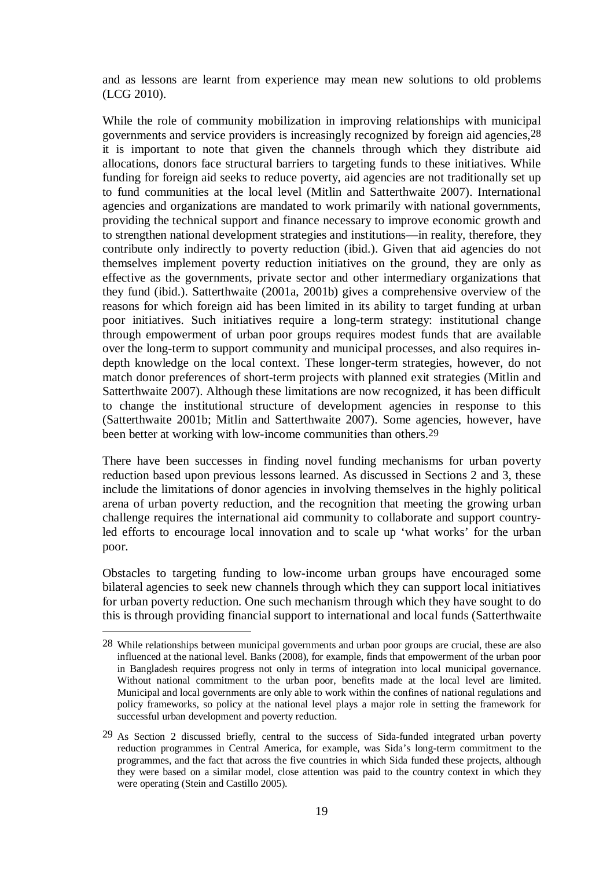and as lessons are learnt from experience may mean new solutions to old problems (LCG 2010).

While the role of community mobilization in improving relationships with municipal governments and service providers is increasingly recognized by foreign aid agencies,28 it is important to note that given the channels through which they distribute aid allocations, donors face structural barriers to targeting funds to these initiatives. While funding for foreign aid seeks to reduce poverty, aid agencies are not traditionally set up to fund communities at the local level (Mitlin and Satterthwaite 2007). International agencies and organizations are mandated to work primarily with national governments, providing the technical support and finance necessary to improve economic growth and to strengthen national development strategies and institutions—in reality, therefore, they contribute only indirectly to poverty reduction (ibid.). Given that aid agencies do not themselves implement poverty reduction initiatives on the ground, they are only as effective as the governments, private sector and other intermediary organizations that they fund (ibid.). Satterthwaite (2001a, 2001b) gives a comprehensive overview of the reasons for which foreign aid has been limited in its ability to target funding at urban poor initiatives. Such initiatives require a long-term strategy: institutional change through empowerment of urban poor groups requires modest funds that are available over the long-term to support community and municipal processes, and also requires indepth knowledge on the local context. These longer-term strategies, however, do not match donor preferences of short-term projects with planned exit strategies (Mitlin and Satterthwaite 2007). Although these limitations are now recognized, it has been difficult to change the institutional structure of development agencies in response to this (Satterthwaite 2001b; Mitlin and Satterthwaite 2007). Some agencies, however, have been better at working with low-income communities than others.29

There have been successes in finding novel funding mechanisms for urban poverty reduction based upon previous lessons learned. As discussed in Sections 2 and 3, these include the limitations of donor agencies in involving themselves in the highly political arena of urban poverty reduction, and the recognition that meeting the growing urban challenge requires the international aid community to collaborate and support countryled efforts to encourage local innovation and to scale up 'what works' for the urban poor.

Obstacles to targeting funding to low-income urban groups have encouraged some bilateral agencies to seek new channels through which they can support local initiatives for urban poverty reduction. One such mechanism through which they have sought to do this is through providing financial support to international and local funds (Satterthwaite

<u>.</u>

<sup>28</sup> While relationships between municipal governments and urban poor groups are crucial, these are also influenced at the national level. Banks (2008), for example, finds that empowerment of the urban poor in Bangladesh requires progress not only in terms of integration into local municipal governance. Without national commitment to the urban poor, benefits made at the local level are limited. Municipal and local governments are only able to work within the confines of national regulations and policy frameworks, so policy at the national level plays a major role in setting the framework for successful urban development and poverty reduction.

<sup>29</sup> As Section 2 discussed briefly, central to the success of Sida-funded integrated urban poverty reduction programmes in Central America, for example, was Sida's long-term commitment to the programmes, and the fact that across the five countries in which Sida funded these projects, although they were based on a similar model, close attention was paid to the country context in which they were operating (Stein and Castillo 2005).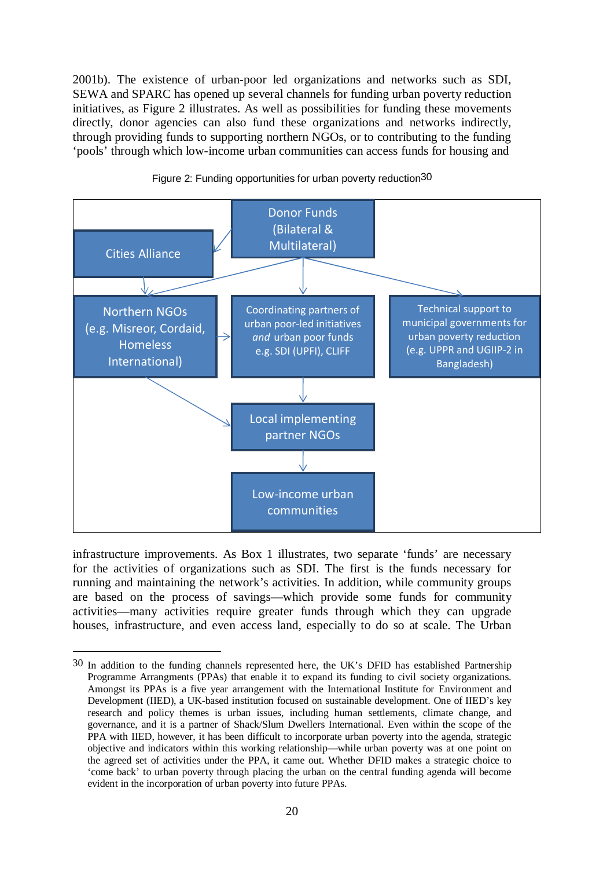2001b). The existence of urban-poor led organizations and networks such as SDI, SEWA and SPARC has opened up several channels for funding urban poverty reduction initiatives, as Figure 2 illustrates. As well as possibilities for funding these movements directly, donor agencies can also fund these organizations and networks indirectly, through providing funds to supporting northern NGOs, or to contributing to the funding 'pools' through which low-income urban communities can access funds for housing and





infrastructure improvements. As Box 1 illustrates, two separate 'funds' are necessary for the activities of organizations such as SDI. The first is the funds necessary for running and maintaining the network's activities. In addition, while community groups are based on the process of savings—which provide some funds for community activities—many activities require greater funds through which they can upgrade houses, infrastructure, and even access land, especially to do so at scale. The Urban

<sup>30</sup> In addition to the funding channels represented here, the UK's DFID has established Partnership Programme Arrangments (PPAs) that enable it to expand its funding to civil society organizations. Amongst its PPAs is a five year arrangement with the International Institute for Environment and Development (IIED), a UK-based institution focused on sustainable development. One of IIED's key research and policy themes is urban issues, including human settlements, climate change, and governance, and it is a partner of Shack/Slum Dwellers International. Even within the scope of the PPA with IIED, however, it has been difficult to incorporate urban poverty into the agenda, strategic objective and indicators within this working relationship—while urban poverty was at one point on the agreed set of activities under the PPA, it came out. Whether DFID makes a strategic choice to 'come back' to urban poverty through placing the urban on the central funding agenda will become evident in the incorporation of urban poverty into future PPAs.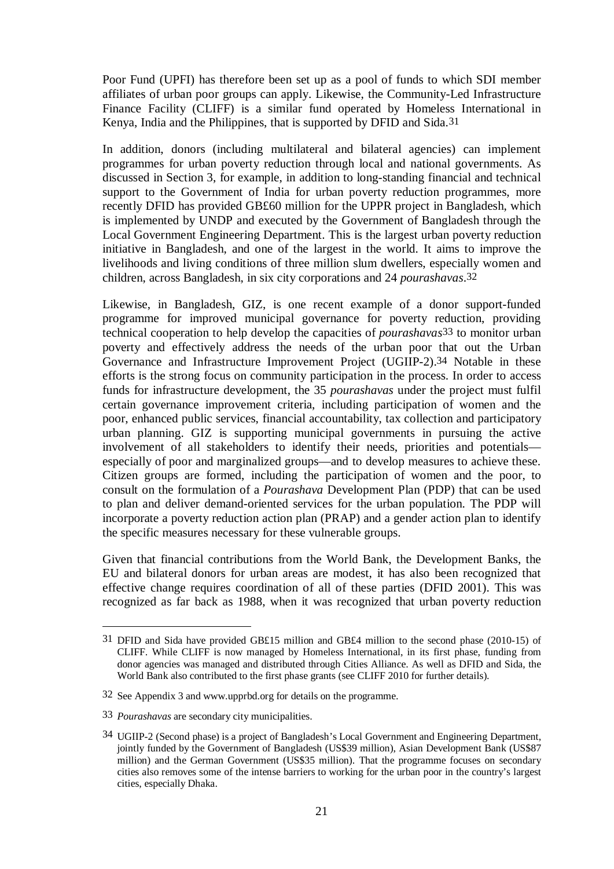Poor Fund (UPFI) has therefore been set up as a pool of funds to which SDI member affiliates of urban poor groups can apply. Likewise, the Community-Led Infrastructure Finance Facility (CLIFF) is a similar fund operated by Homeless International in Kenya, India and the Philippines, that is supported by DFID and Sida.31

In addition, donors (including multilateral and bilateral agencies) can implement programmes for urban poverty reduction through local and national governments. As discussed in Section 3, for example, in addition to long-standing financial and technical support to the Government of India for urban poverty reduction programmes, more recently DFID has provided GB£60 million for the UPPR project in Bangladesh, which is implemented by UNDP and executed by the Government of Bangladesh through the Local Government Engineering Department. This is the largest urban poverty reduction initiative in Bangladesh, and one of the largest in the world. It aims to improve the livelihoods and living conditions of three million slum dwellers, especially women and children, across Bangladesh, in six city corporations and 24 *pourashavas*.32

Likewise, in Bangladesh, GIZ, is one recent example of a donor support-funded programme for improved municipal governance for poverty reduction, providing technical cooperation to help develop the capacities of *pourashavas*33 to monitor urban poverty and effectively address the needs of the urban poor that out the Urban Governance and Infrastructure Improvement Project (UGIIP-2).34 Notable in these efforts is the strong focus on community participation in the process. In order to access funds for infrastructure development, the 35 *pourashavas* under the project must fulfil certain governance improvement criteria, including participation of women and the poor, enhanced public services, financial accountability, tax collection and participatory urban planning. GIZ is supporting municipal governments in pursuing the active involvement of all stakeholders to identify their needs, priorities and potentials especially of poor and marginalized groups—and to develop measures to achieve these. Citizen groups are formed, including the participation of women and the poor, to consult on the formulation of a *Pourashava* Development Plan (PDP) that can be used to plan and deliver demand-oriented services for the urban population. The PDP will incorporate a poverty reduction action plan (PRAP) and a gender action plan to identify the specific measures necessary for these vulnerable groups.

Given that financial contributions from the World Bank, the Development Banks, the EU and bilateral donors for urban areas are modest, it has also been recognized that effective change requires coordination of all of these parties (DFID 2001). This was recognized as far back as 1988, when it was recognized that urban poverty reduction

1

<sup>31</sup> DFID and Sida have provided GB£15 million and GB£4 million to the second phase (2010-15) of CLIFF. While CLIFF is now managed by Homeless International, in its first phase, funding from donor agencies was managed and distributed through Cities Alliance. As well as DFID and Sida, the World Bank also contributed to the first phase grants (see CLIFF 2010 for further details).

<sup>32</sup> See Appendix 3 and www.upprbd.org for details on the programme.

<sup>33</sup> *Pourashavas* are secondary city municipalities.

<sup>34</sup> UGIIP-2 (Second phase) is a project of Bangladesh's Local Government and Engineering Department, jointly funded by the Government of Bangladesh (US\$39 million), Asian Development Bank (US\$87 million) and the German Government (US\$35 million). That the programme focuses on secondary cities also removes some of the intense barriers to working for the urban poor in the country's largest cities, especially Dhaka.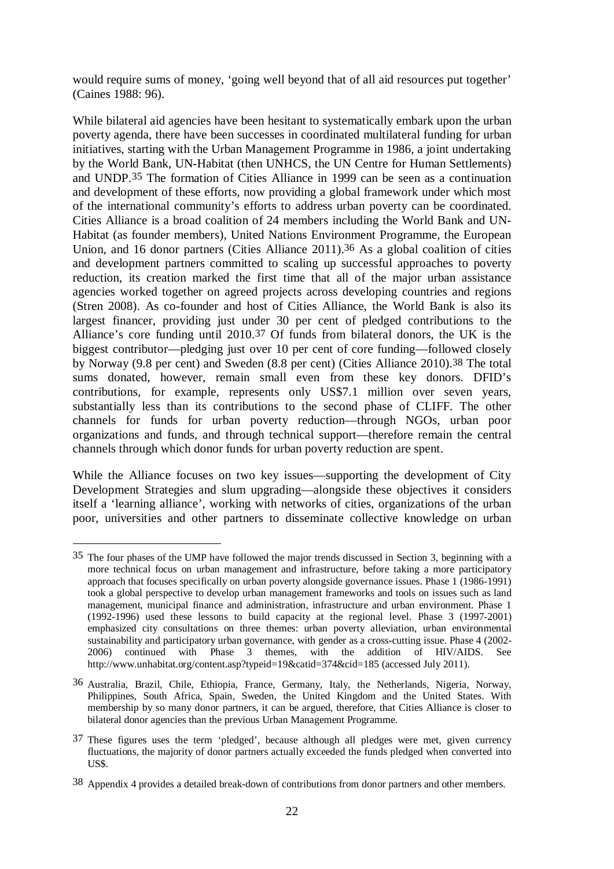would require sums of money, 'going well beyond that of all aid resources put together' (Caines 1988: 96).

While bilateral aid agencies have been hesitant to systematically embark upon the urban poverty agenda, there have been successes in coordinated multilateral funding for urban initiatives, starting with the Urban Management Programme in 1986, a joint undertaking by the World Bank, UN-Habitat (then UNHCS, the UN Centre for Human Settlements) and UNDP.35 The formation of Cities Alliance in 1999 can be seen as a continuation and development of these efforts, now providing a global framework under which most of the international community's efforts to address urban poverty can be coordinated. Cities Alliance is a broad coalition of 24 members including the World Bank and UN-Habitat (as founder members), United Nations Environment Programme, the European Union, and 16 donor partners (Cities Alliance 2011).36 As a global coalition of cities and development partners committed to scaling up successful approaches to poverty reduction, its creation marked the first time that all of the major urban assistance agencies worked together on agreed projects across developing countries and regions (Stren 2008). As co-founder and host of Cities Alliance, the World Bank is also its largest financer, providing just under 30 per cent of pledged contributions to the Alliance's core funding until 2010.37 Of funds from bilateral donors, the UK is the biggest contributor—pledging just over 10 per cent of core funding—followed closely by Norway (9.8 per cent) and Sweden (8.8 per cent) (Cities Alliance 2010).38 The total sums donated, however, remain small even from these key donors. DFID's contributions, for example, represents only US\$7.1 million over seven years, substantially less than its contributions to the second phase of CLIFF. The other channels for funds for urban poverty reduction—through NGOs, urban poor organizations and funds, and through technical support—therefore remain the central channels through which donor funds for urban poverty reduction are spent.

While the Alliance focuses on two key issues—supporting the development of City Development Strategies and slum upgrading—alongside these objectives it considers itself a 'learning alliance', working with networks of cities, organizations of the urban poor, universities and other partners to disseminate collective knowledge on urban

<sup>35</sup> The four phases of the UMP have followed the major trends discussed in Section 3, beginning with a more technical focus on urban management and infrastructure, before taking a more participatory approach that focuses specifically on urban poverty alongside governance issues. Phase 1 (1986-1991) took a global perspective to develop urban management frameworks and tools on issues such as land management, municipal finance and administration, infrastructure and urban environment. Phase 1 (1992-1996) used these lessons to build capacity at the regional level. Phase 3 (1997-2001) emphasized city consultations on three themes: urban poverty alleviation, urban environmental sustainability and participatory urban governance, with gender as a cross-cutting issue. Phase 4 (2002- 2006) continued with Phase 3 themes, with the addition of HIV/AIDS. See http://www.unhabitat.org/content.asp?typeid=19&catid=374&cid=185 (accessed July 2011).

<sup>36</sup> Australia, Brazil, Chile, Ethiopia, France, Germany, Italy, the Netherlands, Nigeria, Norway, Philippines, South Africa, Spain, Sweden, the United Kingdom and the United States. With membership by so many donor partners, it can be argued, therefore, that Cities Alliance is closer to bilateral donor agencies than the previous Urban Management Programme.

<sup>37</sup> These figures uses the term 'pledged', because although all pledges were met, given currency fluctuations, the majority of donor partners actually exceeded the funds pledged when converted into US\$.

<sup>38</sup> Appendix 4 provides a detailed break-down of contributions from donor partners and other members.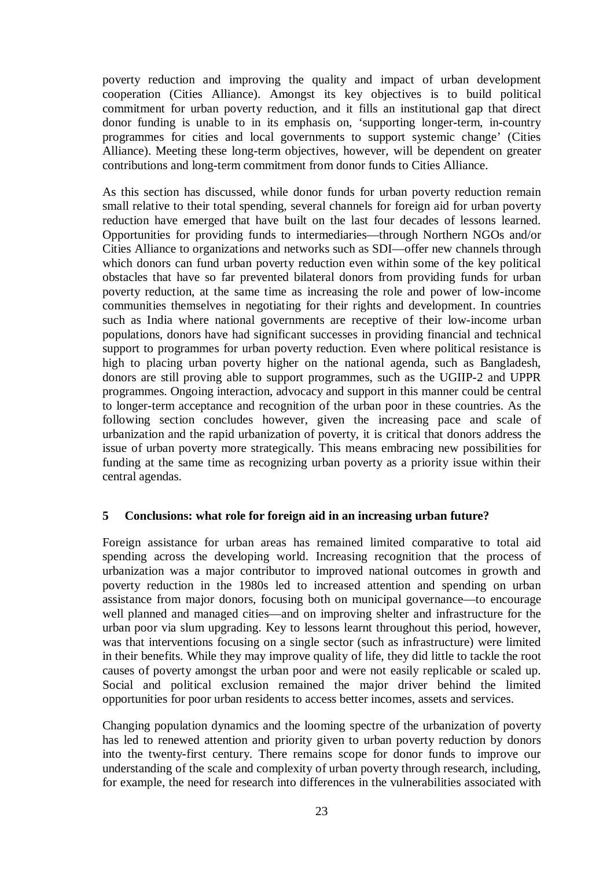poverty reduction and improving the quality and impact of urban development cooperation (Cities Alliance). Amongst its key objectives is to build political commitment for urban poverty reduction, and it fills an institutional gap that direct donor funding is unable to in its emphasis on, 'supporting longer-term, in-country programmes for cities and local governments to support systemic change' (Cities Alliance). Meeting these long-term objectives, however, will be dependent on greater contributions and long-term commitment from donor funds to Cities Alliance.

As this section has discussed, while donor funds for urban poverty reduction remain small relative to their total spending, several channels for foreign aid for urban poverty reduction have emerged that have built on the last four decades of lessons learned. Opportunities for providing funds to intermediaries—through Northern NGOs and/or Cities Alliance to organizations and networks such as SDI—offer new channels through which donors can fund urban poverty reduction even within some of the key political obstacles that have so far prevented bilateral donors from providing funds for urban poverty reduction, at the same time as increasing the role and power of low-income communities themselves in negotiating for their rights and development. In countries such as India where national governments are receptive of their low-income urban populations, donors have had significant successes in providing financial and technical support to programmes for urban poverty reduction. Even where political resistance is high to placing urban poverty higher on the national agenda, such as Bangladesh, donors are still proving able to support programmes, such as the UGIIP-2 and UPPR programmes. Ongoing interaction, advocacy and support in this manner could be central to longer-term acceptance and recognition of the urban poor in these countries. As the following section concludes however, given the increasing pace and scale of urbanization and the rapid urbanization of poverty, it is critical that donors address the issue of urban poverty more strategically. This means embracing new possibilities for funding at the same time as recognizing urban poverty as a priority issue within their central agendas.

## **5 Conclusions: what role for foreign aid in an increasing urban future?**

Foreign assistance for urban areas has remained limited comparative to total aid spending across the developing world. Increasing recognition that the process of urbanization was a major contributor to improved national outcomes in growth and poverty reduction in the 1980s led to increased attention and spending on urban assistance from major donors, focusing both on municipal governance—to encourage well planned and managed cities—and on improving shelter and infrastructure for the urban poor via slum upgrading. Key to lessons learnt throughout this period, however, was that interventions focusing on a single sector (such as infrastructure) were limited in their benefits. While they may improve quality of life, they did little to tackle the root causes of poverty amongst the urban poor and were not easily replicable or scaled up. Social and political exclusion remained the major driver behind the limited opportunities for poor urban residents to access better incomes, assets and services.

Changing population dynamics and the looming spectre of the urbanization of poverty has led to renewed attention and priority given to urban poverty reduction by donors into the twenty-first century. There remains scope for donor funds to improve our understanding of the scale and complexity of urban poverty through research, including, for example, the need for research into differences in the vulnerabilities associated with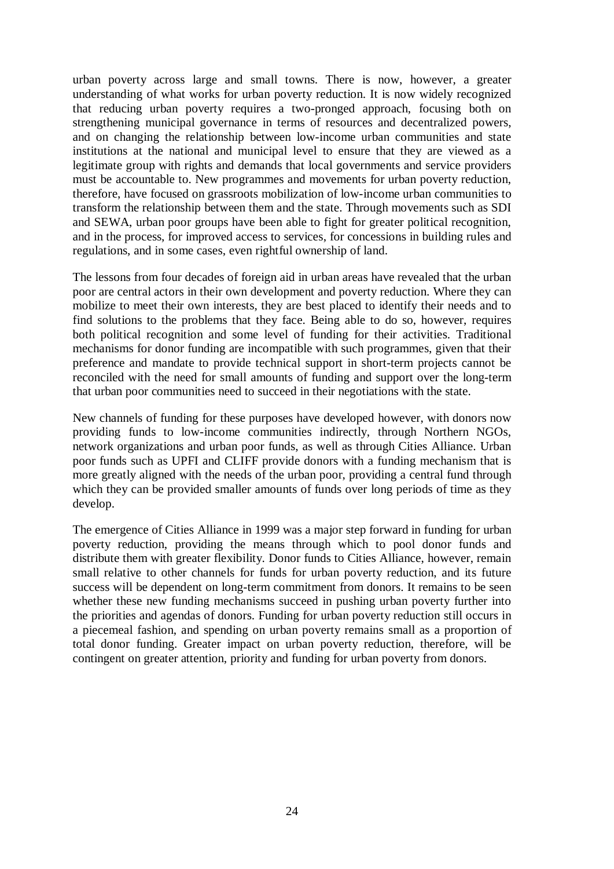urban poverty across large and small towns. There is now, however, a greater understanding of what works for urban poverty reduction. It is now widely recognized that reducing urban poverty requires a two-pronged approach, focusing both on strengthening municipal governance in terms of resources and decentralized powers, and on changing the relationship between low-income urban communities and state institutions at the national and municipal level to ensure that they are viewed as a legitimate group with rights and demands that local governments and service providers must be accountable to. New programmes and movements for urban poverty reduction, therefore, have focused on grassroots mobilization of low-income urban communities to transform the relationship between them and the state. Through movements such as SDI and SEWA, urban poor groups have been able to fight for greater political recognition, and in the process, for improved access to services, for concessions in building rules and regulations, and in some cases, even rightful ownership of land.

The lessons from four decades of foreign aid in urban areas have revealed that the urban poor are central actors in their own development and poverty reduction. Where they can mobilize to meet their own interests, they are best placed to identify their needs and to find solutions to the problems that they face. Being able to do so, however, requires both political recognition and some level of funding for their activities. Traditional mechanisms for donor funding are incompatible with such programmes, given that their preference and mandate to provide technical support in short-term projects cannot be reconciled with the need for small amounts of funding and support over the long-term that urban poor communities need to succeed in their negotiations with the state.

New channels of funding for these purposes have developed however, with donors now providing funds to low-income communities indirectly, through Northern NGOs, network organizations and urban poor funds, as well as through Cities Alliance. Urban poor funds such as UPFI and CLIFF provide donors with a funding mechanism that is more greatly aligned with the needs of the urban poor, providing a central fund through which they can be provided smaller amounts of funds over long periods of time as they develop.

The emergence of Cities Alliance in 1999 was a major step forward in funding for urban poverty reduction, providing the means through which to pool donor funds and distribute them with greater flexibility. Donor funds to Cities Alliance, however, remain small relative to other channels for funds for urban poverty reduction, and its future success will be dependent on long-term commitment from donors. It remains to be seen whether these new funding mechanisms succeed in pushing urban poverty further into the priorities and agendas of donors. Funding for urban poverty reduction still occurs in a piecemeal fashion, and spending on urban poverty remains small as a proportion of total donor funding. Greater impact on urban poverty reduction, therefore, will be contingent on greater attention, priority and funding for urban poverty from donors.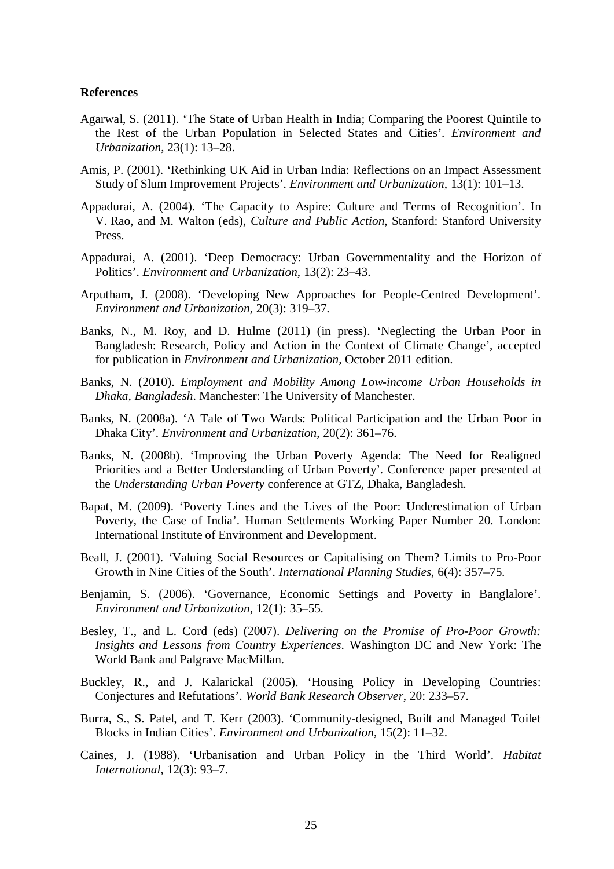#### **References**

- Agarwal, S. (2011). 'The State of Urban Health in India; Comparing the Poorest Quintile to the Rest of the Urban Population in Selected States and Cities'. *Environment and Urbanization*, 23(1): 13–28.
- Amis, P. (2001). 'Rethinking UK Aid in Urban India: Reflections on an Impact Assessment Study of Slum Improvement Projects'. *Environment and Urbanization*, 13(1): 101–13.
- Appadurai, A. (2004). 'The Capacity to Aspire: Culture and Terms of Recognition'. In V. Rao, and M. Walton (eds), *Culture and Public Action*, Stanford: Stanford University Press.
- Appadurai, A. (2001). 'Deep Democracy: Urban Governmentality and the Horizon of Politics'. *Environment and Urbanization*, 13(2): 23–43.
- Arputham, J. (2008). 'Developing New Approaches for People-Centred Development'. *Environment and Urbanization*, 20(3): 319–37.
- Banks, N., M. Roy, and D. Hulme (2011) (in press). 'Neglecting the Urban Poor in Bangladesh: Research, Policy and Action in the Context of Climate Change', accepted for publication in *Environment and Urbanization,* October 2011 edition.
- Banks, N. (2010). *Employment and Mobility Among Low-income Urban Households in Dhaka, Bangladesh*. Manchester: The University of Manchester.
- Banks, N. (2008a). 'A Tale of Two Wards: Political Participation and the Urban Poor in Dhaka City'. *Environment and Urbanization*, 20(2): 361–76.
- Banks, N. (2008b). 'Improving the Urban Poverty Agenda: The Need for Realigned Priorities and a Better Understanding of Urban Poverty'. Conference paper presented at the *Understanding Urban Poverty* conference at GTZ, Dhaka, Bangladesh.
- Bapat, M. (2009). 'Poverty Lines and the Lives of the Poor: Underestimation of Urban Poverty, the Case of India'. Human Settlements Working Paper Number 20. London: International Institute of Environment and Development.
- Beall, J. (2001). 'Valuing Social Resources or Capitalising on Them? Limits to Pro-Poor Growth in Nine Cities of the South'. *International Planning Studies*, 6(4): 357–75.
- Benjamin, S. (2006). 'Governance, Economic Settings and Poverty in Banglalore'. *Environment and Urbanization*, 12(1): 35–55.
- Besley, T., and L. Cord (eds) (2007). *Delivering on the Promise of Pro-Poor Growth: Insights and Lessons from Country Experiences*. Washington DC and New York: The World Bank and Palgrave MacMillan.
- Buckley, R., and J. Kalarickal (2005). 'Housing Policy in Developing Countries: Conjectures and Refutations'. *World Bank Research Observer*, 20: 233–57.
- Burra, S., S. Patel, and T. Kerr (2003). 'Community-designed, Built and Managed Toilet Blocks in Indian Cities'. *Environment and Urbanization*, 15(2): 11–32.
- Caines, J. (1988). 'Urbanisation and Urban Policy in the Third World'. *Habitat International*, 12(3): 93–7.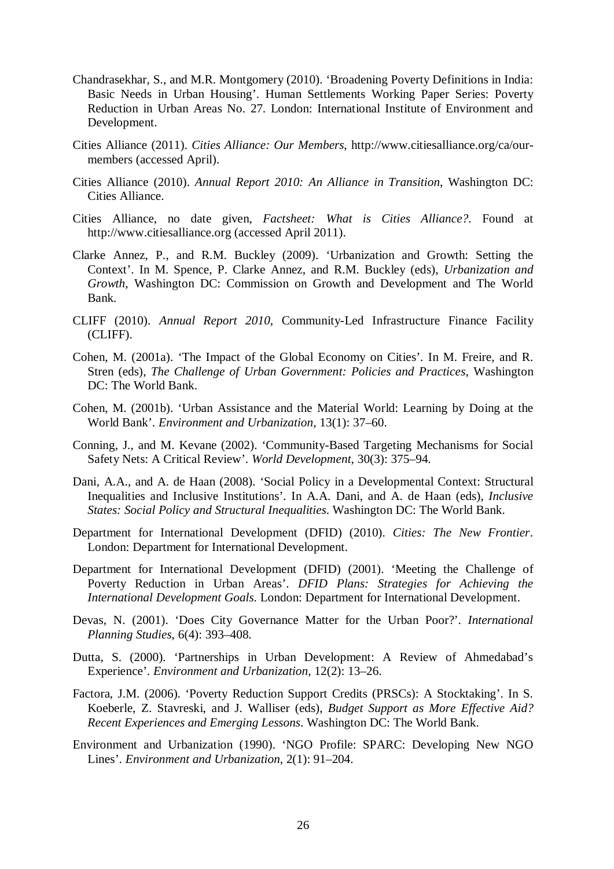- Chandrasekhar, S., and M.R. Montgomery (2010). 'Broadening Poverty Definitions in India: Basic Needs in Urban Housing'. Human Settlements Working Paper Series: Poverty Reduction in Urban Areas No. 27. London: International Institute of Environment and Development.
- Cities Alliance (2011). *Cities Alliance: Our Members*, http://www.citiesalliance.org/ca/ourmembers (accessed April).
- Cities Alliance (2010). *Annual Report 2010: An Alliance in Transition*, Washington DC: Cities Alliance.
- Cities Alliance, no date given, *Factsheet: What is Cities Alliance?*. Found at http://www.citiesalliance.org (accessed April 2011).
- Clarke Annez, P., and R.M. Buckley (2009). 'Urbanization and Growth: Setting the Context'. In M. Spence, P. Clarke Annez, and R.M. Buckley (eds), *Urbanization and Growth*, Washington DC: Commission on Growth and Development and The World Bank.
- CLIFF (2010). *Annual Report 2010*, Community-Led Infrastructure Finance Facility (CLIFF).
- Cohen, M. (2001a). 'The Impact of the Global Economy on Cities'. In M. Freire, and R. Stren (eds), *The Challenge of Urban Government: Policies and Practices*, Washington DC: The World Bank.
- Cohen, M. (2001b). 'Urban Assistance and the Material World: Learning by Doing at the World Bank'. *Environment and Urbanization*, 13(1): 37–60.
- Conning, J., and M. Kevane (2002). 'Community-Based Targeting Mechanisms for Social Safety Nets: A Critical Review'. *World Development*, 30(3): 375–94.
- Dani, A.A., and A. de Haan (2008). 'Social Policy in a Developmental Context: Structural Inequalities and Inclusive Institutions'. In A.A. Dani, and A. de Haan (eds), *Inclusive States: Social Policy and Structural Inequalities*. Washington DC: The World Bank.
- Department for International Development (DFID) (2010). *Cities: The New Frontier*. London: Department for International Development.
- Department for International Development (DFID) (2001). 'Meeting the Challenge of Poverty Reduction in Urban Areas'. *DFID Plans: Strategies for Achieving the International Development Goals*. London: Department for International Development.
- Devas, N. (2001). 'Does City Governance Matter for the Urban Poor?'. *International Planning Studies*, 6(4): 393–408.
- Dutta, S. (2000). 'Partnerships in Urban Development: A Review of Ahmedabad's Experience'. *Environment and Urbanization*, 12(2): 13–26.
- Factora, J.M. (2006). 'Poverty Reduction Support Credits (PRSCs): A Stocktaking'. In S. Koeberle, Z. Stavreski, and J. Walliser (eds), *Budget Support as More Effective Aid? Recent Experiences and Emerging Lessons*. Washington DC: The World Bank.
- Environment and Urbanization (1990). 'NGO Profile: SPARC: Developing New NGO Lines'. *Environment and Urbanization*, 2(1): 91–204.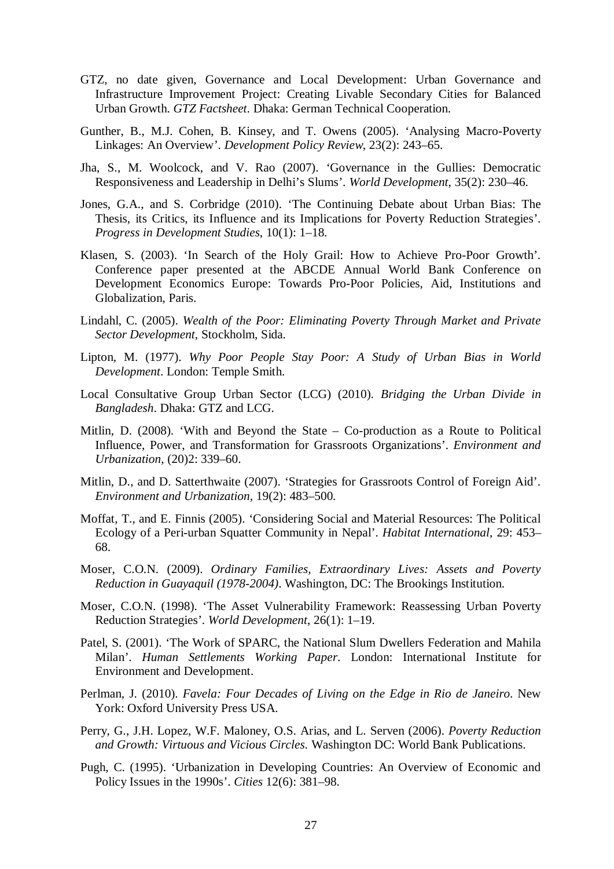- GTZ, no date given, Governance and Local Development: Urban Governance and Infrastructure Improvement Project: Creating Livable Secondary Cities for Balanced Urban Growth. *GTZ Factsheet*. Dhaka: German Technical Cooperation.
- Gunther, B., M.J. Cohen, B. Kinsey, and T. Owens (2005). 'Analysing Macro-Poverty Linkages: An Overview'. *Development Policy Review*, 23(2): 243–65.
- Jha, S., M. Woolcock, and V. Rao (2007). 'Governance in the Gullies: Democratic Responsiveness and Leadership in Delhi's Slums'. *World Development*, 35(2): 230–46.
- Jones, G.A., and S. Corbridge (2010). 'The Continuing Debate about Urban Bias: The Thesis, its Critics, its Influence and its Implications for Poverty Reduction Strategies'. *Progress in Development Studies*, 10(1): 1–18.
- Klasen, S. (2003). 'In Search of the Holy Grail: How to Achieve Pro-Poor Growth'. Conference paper presented at the ABCDE Annual World Bank Conference on Development Economics Europe: Towards Pro-Poor Policies, Aid, Institutions and Globalization, Paris.
- Lindahl, C. (2005). *Wealth of the Poor: Eliminating Poverty Through Market and Private Sector Development*, Stockholm, Sida.
- Lipton, M. (1977). *Why Poor People Stay Poor: A Study of Urban Bias in World Development*. London: Temple Smith.
- Local Consultative Group Urban Sector (LCG) (2010). *Bridging the Urban Divide in Bangladesh*. Dhaka: GTZ and LCG.
- Mitlin, D. (2008). 'With and Beyond the State Co-production as a Route to Political Influence, Power, and Transformation for Grassroots Organizations'. *Environment and Urbanization*, (20)2: 339–60.
- Mitlin, D., and D. Satterthwaite (2007). 'Strategies for Grassroots Control of Foreign Aid'. *Environment and Urbanization*, 19(2): 483–500.
- Moffat, T., and E. Finnis (2005). 'Considering Social and Material Resources: The Political Ecology of a Peri-urban Squatter Community in Nepal'. *Habitat International*, 29: 453– 68.
- Moser, C.O.N. (2009). *Ordinary Families, Extraordinary Lives: Assets and Poverty Reduction in Guayaquil (1978-2004)*. Washington, DC: The Brookings Institution.
- Moser, C.O.N. (1998). 'The Asset Vulnerability Framework: Reassessing Urban Poverty Reduction Strategies'. *World Development*, 26(1): 1–19.
- Patel, S. (2001). 'The Work of SPARC, the National Slum Dwellers Federation and Mahila Milan'. *Human Settlements Working Paper*. London: International Institute for Environment and Development.
- Perlman, J. (2010). *Favela: Four Decades of Living on the Edge in Rio de Janeiro*. New York: Oxford University Press USA.
- Perry, G., J.H. Lopez, W.F. Maloney, O.S. Arias, and L. Serven (2006). *Poverty Reduction and Growth: Virtuous and Vicious Circles*. Washington DC: World Bank Publications.
- Pugh, C. (1995). 'Urbanization in Developing Countries: An Overview of Economic and Policy Issues in the 1990s'. *Cities* 12(6): 381–98.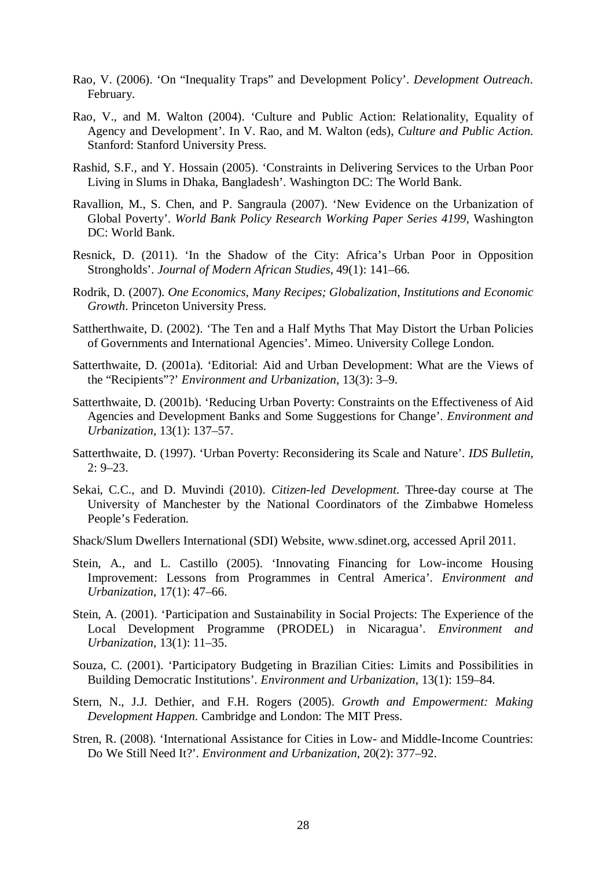- Rao, V. (2006). 'On "Inequality Traps" and Development Policy'. *Development Outreach*. February.
- Rao, V., and M. Walton (2004). 'Culture and Public Action: Relationality, Equality of Agency and Development'. In V. Rao, and M. Walton (eds), *Culture and Public Action*. Stanford: Stanford University Press.
- Rashid, S.F., and Y. Hossain (2005). 'Constraints in Delivering Services to the Urban Poor Living in Slums in Dhaka, Bangladesh'. Washington DC: The World Bank.
- Ravallion, M., S. Chen, and P. Sangraula (2007). 'New Evidence on the Urbanization of Global Poverty'. *World Bank Policy Research Working Paper Series 4199,* Washington DC: World Bank.
- Resnick, D. (2011). 'In the Shadow of the City: Africa's Urban Poor in Opposition Strongholds'. *Journal of Modern African Studies*, 49(1): 141–66.
- Rodrik, D. (2007). *One Economics, Many Recipes; Globalization, Institutions and Economic Growth*. Princeton University Press.
- Sattherthwaite, D. (2002). 'The Ten and a Half Myths That May Distort the Urban Policies of Governments and International Agencies'. Mimeo. University College London.
- Satterthwaite, D. (2001a). 'Editorial: Aid and Urban Development: What are the Views of the "Recipients"?' *Environment and Urbanization*, 13(3): 3–9.
- Satterthwaite, D. (2001b). 'Reducing Urban Poverty: Constraints on the Effectiveness of Aid Agencies and Development Banks and Some Suggestions for Change'. *Environment and Urbanization*, 13(1): 137–57.
- Satterthwaite, D. (1997). 'Urban Poverty: Reconsidering its Scale and Nature'. *IDS Bulletin*, 2: 9–23.
- Sekai, C.C., and D. Muvindi (2010). *Citizen-led Development*. Three-day course at The University of Manchester by the National Coordinators of the Zimbabwe Homeless People's Federation.
- Shack/Slum Dwellers International (SDI) Website, www.sdinet.org, accessed April 2011.
- Stein, A., and L. Castillo (2005). 'Innovating Financing for Low-income Housing Improvement: Lessons from Programmes in Central America'. *Environment and Urbanization*, 17(1): 47–66.
- Stein, A. (2001). 'Participation and Sustainability in Social Projects: The Experience of the Local Development Programme (PRODEL) in Nicaragua'. *Environment and Urbanization*, 13(1): 11–35.
- Souza, C. (2001). 'Participatory Budgeting in Brazilian Cities: Limits and Possibilities in Building Democratic Institutions'. *Environment and Urbanization*, 13(1): 159–84.
- Stern, N., J.J. Dethier, and F.H. Rogers (2005). *Growth and Empowerment: Making Development Happen*. Cambridge and London: The MIT Press.
- Stren, R. (2008). 'International Assistance for Cities in Low- and Middle-Income Countries: Do We Still Need It?'. *Environment and Urbanization*, 20(2): 377–92.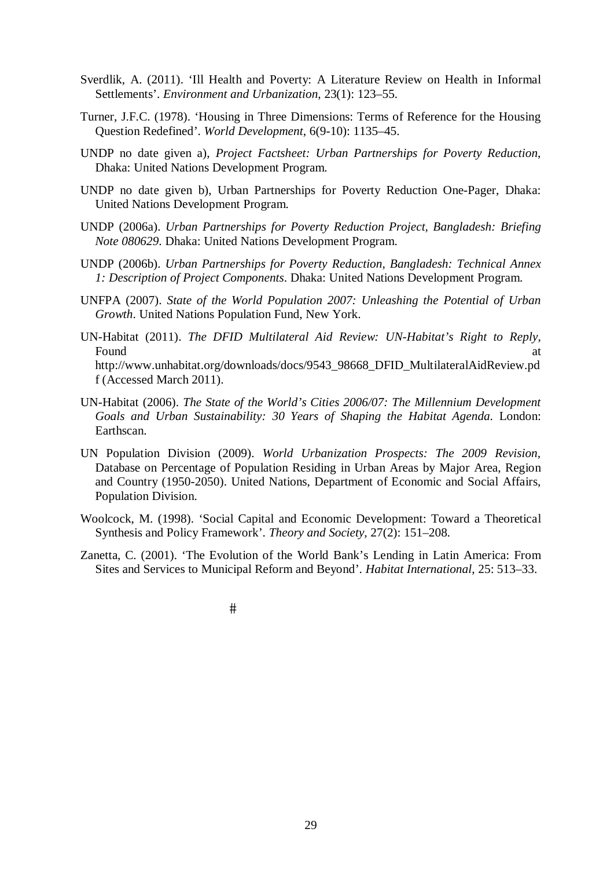- Sverdlik, A. (2011). 'Ill Health and Poverty: A Literature Review on Health in Informal Settlements'. *Environment and Urbanization*, 23(1): 123–55.
- Turner, J.F.C. (1978). 'Housing in Three Dimensions: Terms of Reference for the Housing Question Redefined'. *World Development*, 6(9-10): 1135–45.
- UNDP no date given a), *Project Factsheet: Urban Partnerships for Poverty Reduction*, Dhaka: United Nations Development Program.
- UNDP no date given b), Urban Partnerships for Poverty Reduction One-Pager, Dhaka: United Nations Development Program.
- UNDP (2006a). *Urban Partnerships for Poverty Reduction Project, Bangladesh: Briefing Note 080629*. Dhaka: United Nations Development Program.
- UNDP (2006b). *Urban Partnerships for Poverty Reduction, Bangladesh: Technical Annex 1: Description of Project Components*. Dhaka: United Nations Development Program.
- UNFPA (2007). *State of the World Population 2007: Unleashing the Potential of Urban Growth*. United Nations Population Fund, New York.
- UN-Habitat (2011). *The DFID Multilateral Aid Review: UN-Habitat's Right to Reply*, Found at a state of the state of the state of the state of the state of the state of the state of the state of the state of the state of the state of the state of the state of the state of the state of the state of the sta http://www.unhabitat.org/downloads/docs/9543\_98668\_DFID\_MultilateralAidReview.pd f (Accessed March 2011).
- UN-Habitat (2006). *The State of the World's Cities 2006/07: The Millennium Development Goals and Urban Sustainability: 30 Years of Shaping the Habitat Agenda*. London: Earthscan.
- UN Population Division (2009). *World Urbanization Prospects: The 2009 Revision,* Database on Percentage of Population Residing in Urban Areas by Major Area, Region and Country (1950-2050). United Nations, Department of Economic and Social Affairs, Population Division.
- Woolcock, M. (1998). 'Social Capital and Economic Development: Toward a Theoretical Synthesis and Policy Framework'. *Theory and Society*, 27(2): 151–208.
- Zanetta, C. (2001). 'The Evolution of the World Bank's Lending in Latin America: From Sites and Services to Municipal Reform and Beyond'. *Habitat International*, 25: 513–33.

 $#$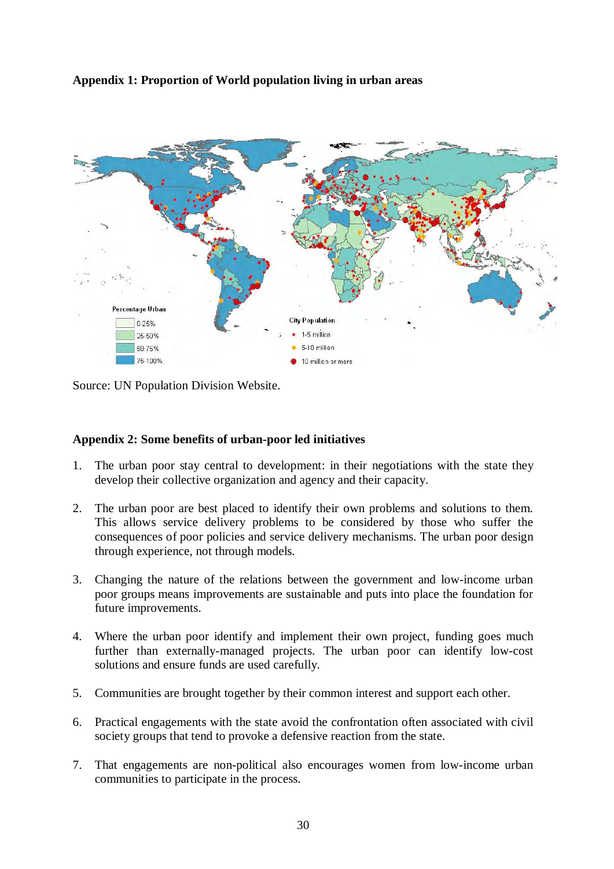# **Appendix 1: Proportion of World population living in urban areas**



Source: UN Population Division Website.

# **Appendix 2: Some benefits of urban-poor led initiatives**

- 1. The urban poor stay central to development: in their negotiations with the state they develop their collective organization and agency and their capacity.
- 2. The urban poor are best placed to identify their own problems and solutions to them. This allows service delivery problems to be considered by those who suffer the consequences of poor policies and service delivery mechanisms. The urban poor design through experience, not through models.
- 3. Changing the nature of the relations between the government and low-income urban poor groups means improvements are sustainable and puts into place the foundation for future improvements.
- 4. Where the urban poor identify and implement their own project, funding goes much further than externally-managed projects. The urban poor can identify low-cost solutions and ensure funds are used carefully.
- 5. Communities are brought together by their common interest and support each other.
- 6. Practical engagements with the state avoid the confrontation often associated with civil society groups that tend to provoke a defensive reaction from the state.
- 7. That engagements are non-political also encourages women from low-income urban communities to participate in the process.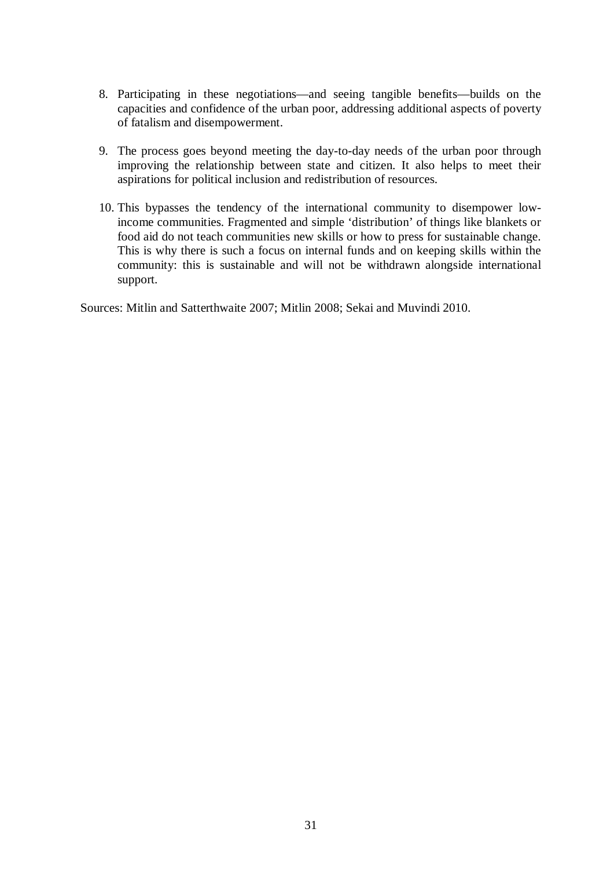- 8. Participating in these negotiations—and seeing tangible benefits—builds on the capacities and confidence of the urban poor, addressing additional aspects of poverty of fatalism and disempowerment.
- 9. The process goes beyond meeting the day-to-day needs of the urban poor through improving the relationship between state and citizen. It also helps to meet their aspirations for political inclusion and redistribution of resources.
- 10. This bypasses the tendency of the international community to disempower lowincome communities. Fragmented and simple 'distribution' of things like blankets or food aid do not teach communities new skills or how to press for sustainable change. This is why there is such a focus on internal funds and on keeping skills within the community: this is sustainable and will not be withdrawn alongside international support.

Sources: Mitlin and Satterthwaite 2007; Mitlin 2008; Sekai and Muvindi 2010.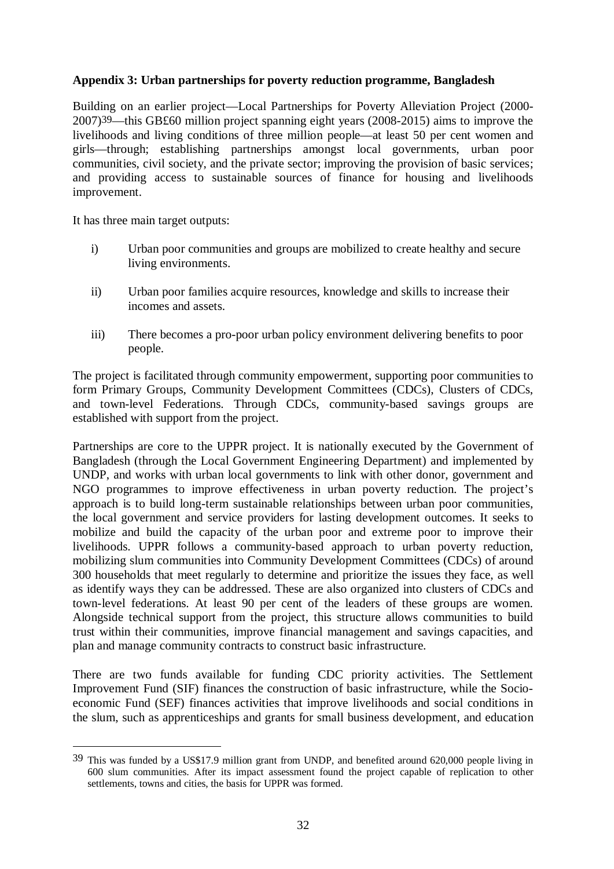# **Appendix 3: Urban partnerships for poverty reduction programme, Bangladesh**

Building on an earlier project—Local Partnerships for Poverty Alleviation Project (2000- 2007)39—this GB£60 million project spanning eight years (2008-2015) aims to improve the livelihoods and living conditions of three million people—at least 50 per cent women and girls—through; establishing partnerships amongst local governments, urban poor communities, civil society, and the private sector; improving the provision of basic services; and providing access to sustainable sources of finance for housing and livelihoods improvement.

It has three main target outputs:

 $\overline{a}$ 

- i) Urban poor communities and groups are mobilized to create healthy and secure living environments.
- ii) Urban poor families acquire resources, knowledge and skills to increase their incomes and assets.
- iii) There becomes a pro-poor urban policy environment delivering benefits to poor people.

The project is facilitated through community empowerment, supporting poor communities to form Primary Groups, Community Development Committees (CDCs), Clusters of CDCs, and town-level Federations. Through CDCs, community-based savings groups are established with support from the project.

Partnerships are core to the UPPR project. It is nationally executed by the Government of Bangladesh (through the Local Government Engineering Department) and implemented by UNDP, and works with urban local governments to link with other donor, government and NGO programmes to improve effectiveness in urban poverty reduction. The project's approach is to build long-term sustainable relationships between urban poor communities, the local government and service providers for lasting development outcomes. It seeks to mobilize and build the capacity of the urban poor and extreme poor to improve their livelihoods. UPPR follows a community-based approach to urban poverty reduction, mobilizing slum communities into Community Development Committees (CDCs) of around 300 households that meet regularly to determine and prioritize the issues they face, as well as identify ways they can be addressed. These are also organized into clusters of CDCs and town-level federations. At least 90 per cent of the leaders of these groups are women. Alongside technical support from the project, this structure allows communities to build trust within their communities, improve financial management and savings capacities, and plan and manage community contracts to construct basic infrastructure.

There are two funds available for funding CDC priority activities. The Settlement Improvement Fund (SIF) finances the construction of basic infrastructure, while the Socioeconomic Fund (SEF) finances activities that improve livelihoods and social conditions in the slum, such as apprenticeships and grants for small business development, and education

<sup>39</sup> This was funded by a US\$17.9 million grant from UNDP, and benefited around 620,000 people living in 600 slum communities. After its impact assessment found the project capable of replication to other settlements, towns and cities, the basis for UPPR was formed.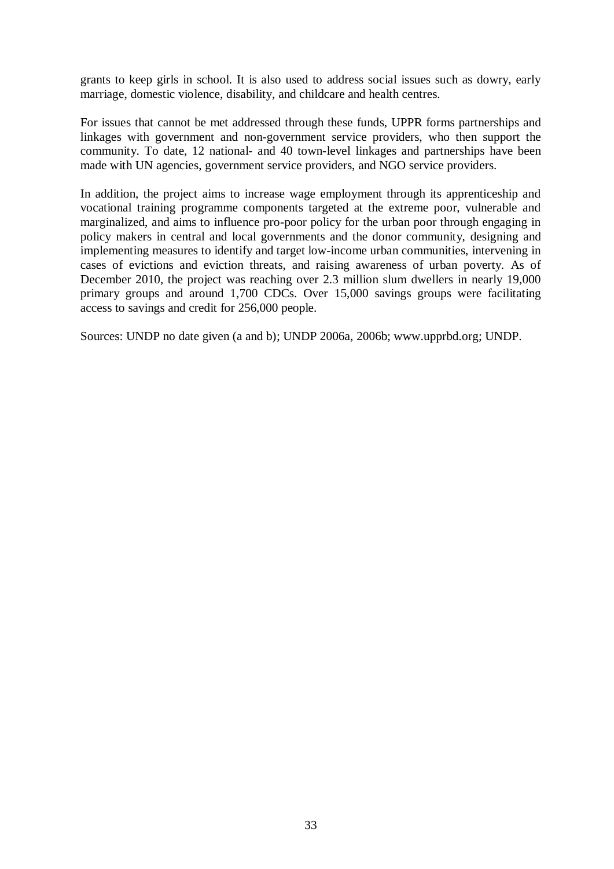grants to keep girls in school. It is also used to address social issues such as dowry, early marriage, domestic violence, disability, and childcare and health centres.

For issues that cannot be met addressed through these funds, UPPR forms partnerships and linkages with government and non-government service providers, who then support the community. To date, 12 national- and 40 town-level linkages and partnerships have been made with UN agencies, government service providers, and NGO service providers.

In addition, the project aims to increase wage employment through its apprenticeship and vocational training programme components targeted at the extreme poor, vulnerable and marginalized, and aims to influence pro-poor policy for the urban poor through engaging in policy makers in central and local governments and the donor community, designing and implementing measures to identify and target low-income urban communities, intervening in cases of evictions and eviction threats, and raising awareness of urban poverty. As of December 2010, the project was reaching over 2.3 million slum dwellers in nearly 19,000 primary groups and around 1,700 CDCs. Over 15,000 savings groups were facilitating access to savings and credit for 256,000 people.

Sources: UNDP no date given (a and b); UNDP 2006a, 2006b; www.upprbd.org; UNDP.